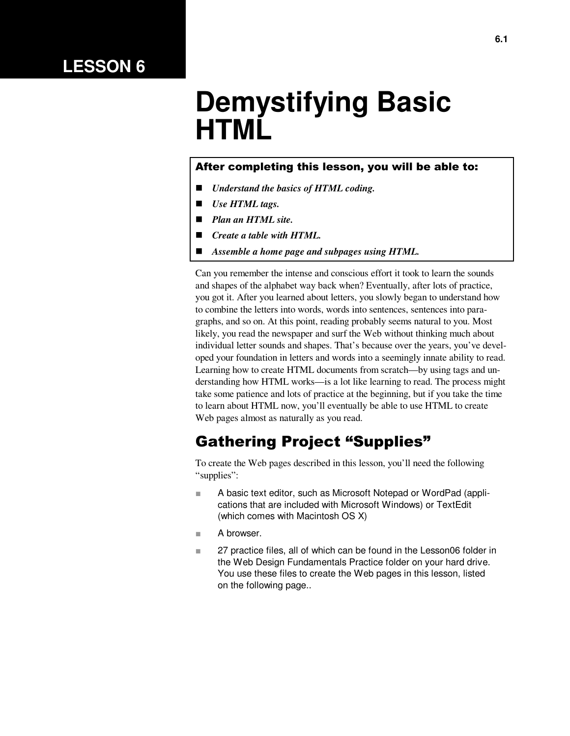## **LESSON 6**

# **Demystifying Basic HTML**

### After completing this lesson, you will be able to:

- *Understand the basics of HTML coding.*
- *Use HTML tags.*
- *Plan an HTML site.*
- *Create a table with HTML.*
- *Assemble a home page and subpages using HTML.*

Can you remember the intense and conscious effort it took to learn the sounds and shapes of the alphabet way back when? Eventually, after lots of practice, you got it. After you learned about letters, you slowly began to understand how to combine the letters into words, words into sentences, sentences into paragraphs, and so on. At this point, reading probably seems natural to you. Most likely, you read the newspaper and surf the Web without thinking much about individual letter sounds and shapes. That's because over the years, you've developed your foundation in letters and words into a seemingly innate ability to read. Learning how to create HTML documents from scratch—by using tags and understanding how HTML works—is a lot like learning to read. The process might take some patience and lots of practice at the beginning, but if you take the time to learn about HTML now, you'll eventually be able to use HTML to create Web pages almost as naturally as you read.

## **Gathering Project "Supplies"**

To create the Web pages described in this lesson, you'll need the following "supplies":

- A basic text editor, such as Microsoft Notepad or WordPad (applications that are included with Microsoft Windows) or TextEdit (which comes with Macintosh OS X)
- A browser.
- 27 practice files, all of which can be found in the Lesson06 folder in the Web Design Fundamentals Practice folder on your hard drive. You use these files to create the Web pages in this lesson, listed on the following page..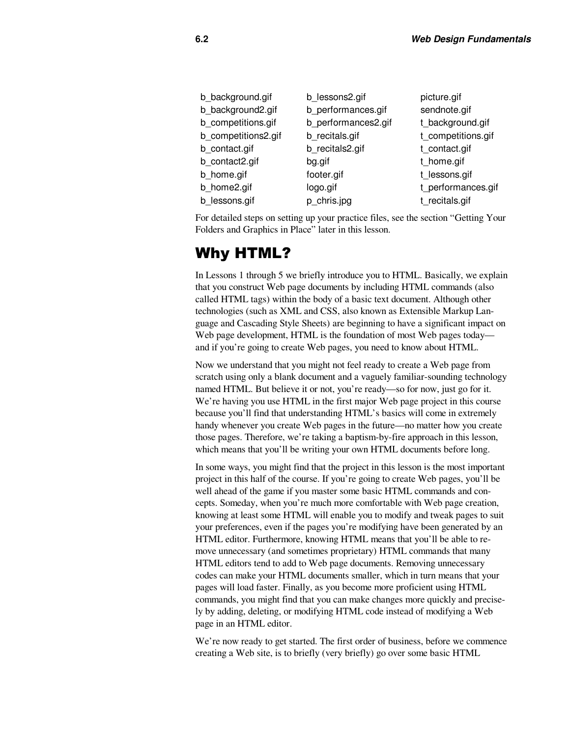| b_background.gif    | b lessons2.gif      | picture.gif        |
|---------------------|---------------------|--------------------|
| b_background2.gif   | b performances.gif  | sendnote.gif       |
| b_competitions.gif  | b performances2.gif | t_background.gif   |
| b_competitions2.gif | b recitals.gif      | t_competitions.gif |
| b contact.gif       | b recitals2.gif     | t contact.gif      |
| b contact2.gif      | bg.gif              | t_home.gif         |
| b home.gif          | footer.gif          | t lessons.gif      |
| b_home2.gif         | logo.gif            | t performances.gif |
| b lessons.gif       | p_chris.jpg         | t recitals.gif     |

For detailed steps on setting up your practice files, see the section "Getting Your Folders and Graphics in Place" later in this lesson.

## **Why HTML?**

In Lessons 1 through 5 we briefly introduce you to HTML. Basically, we explain that you construct Web page documents by including HTML commands (also called HTML tags) within the body of a basic text document. Although other technologies (such as XML and CSS, also known as Extensible Markup Language and Cascading Style Sheets) are beginning to have a significant impact on Web page development, HTML is the foundation of most Web pages today and if you're going to create Web pages, you need to know about HTML.

Now we understand that you might not feel ready to create a Web page from scratch using only a blank document and a vaguely familiar-sounding technology named HTML. But believe it or not, you're ready—so for now, just go for it. We're having you use HTML in the first major Web page project in this course because you'll find that understanding HTML's basics will come in extremely handy whenever you create Web pages in the future—no matter how you create those pages. Therefore, we're taking a baptism-by-fire approach in this lesson, which means that you'll be writing your own HTML documents before long.

In some ways, you might find that the project in this lesson is the most important project in this half of the course. If you're going to create Web pages, you'll be well ahead of the game if you master some basic HTML commands and concepts. Someday, when you're much more comfortable with Web page creation, knowing at least some HTML will enable you to modify and tweak pages to suit your preferences, even if the pages you're modifying have been generated by an HTML editor. Furthermore, knowing HTML means that you'll be able to remove unnecessary (and sometimes proprietary) HTML commands that many HTML editors tend to add to Web page documents. Removing unnecessary codes can make your HTML documents smaller, which in turn means that your pages will load faster. Finally, as you become more proficient using HTML commands, you might find that you can make changes more quickly and precisely by adding, deleting, or modifying HTML code instead of modifying a Web page in an HTML editor.

We're now ready to get started. The first order of business, before we commence creating a Web site, is to briefly (very briefly) go over some basic HTML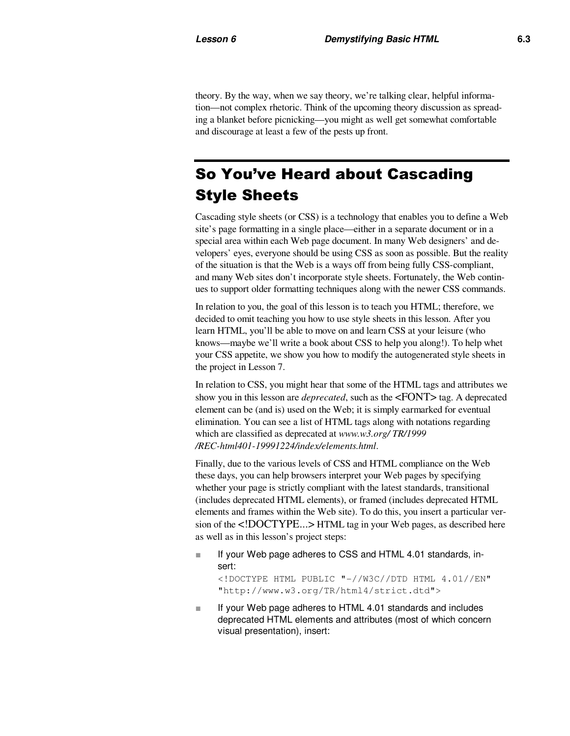theory. By the way, when we say theory, we're talking clear, helpful information—not complex rhetoric. Think of the upcoming theory discussion as spreading a blanket before picnicking—you might as well get somewhat comfortable and discourage at least a few of the pests up front.

## So You've Heard about Cascading **Style Sheets**

Cascading style sheets (or CSS) is a technology that enables you to define a Web site's page formatting in a single place—either in a separate document or in a special area within each Web page document. In many Web designers' and developers' eyes, everyone should be using CSS as soon as possible. But the reality of the situation is that the Web is a ways off from being fully CSS-compliant, and many Web sites don't incorporate style sheets. Fortunately, the Web continues to support older formatting techniques along with the newer CSS commands.

In relation to you, the goal of this lesson is to teach you HTML; therefore, we decided to omit teaching you how to use style sheets in this lesson. After you learn HTML, you'll be able to move on and learn CSS at your leisure (who knows—maybe we'll write a book about CSS to help you along!). To help whet your CSS appetite, we show you how to modify the autogenerated style sheets in the project in Lesson 7.

In relation to CSS, you might hear that some of the HTML tags and attributes we show you in this lesson are *deprecated*, such as the <FONT> tag. A deprecated element can be (and is) used on the Web; it is simply earmarked for eventual elimination. You can see a list of HTML tags along with notations regarding which are classified as deprecated at *www.w3.org/ TR/1999 /REC-html401-19991224/index/elements.html*.

Finally, due to the various levels of CSS and HTML compliance on the Web these days, you can help browsers interpret your Web pages by specifying whether your page is strictly compliant with the latest standards, transitional (includes deprecated HTML elements), or framed (includes deprecated HTML elements and frames within the Web site). To do this, you insert a particular version of the <!DOCTYPE...> HTML tag in your Web pages, as described here as well as in this lesson's project steps:

- If your Web page adheres to CSS and HTML 4.01 standards, insert: <!DOCTYPE HTML PUBLIC "-//W3C//DTD HTML 4.01//EN" "http://www.w3.org/TR/html4/strict.dtd">
- If your Web page adheres to HTML 4.01 standards and includes deprecated HTML elements and attributes (most of which concern visual presentation), insert: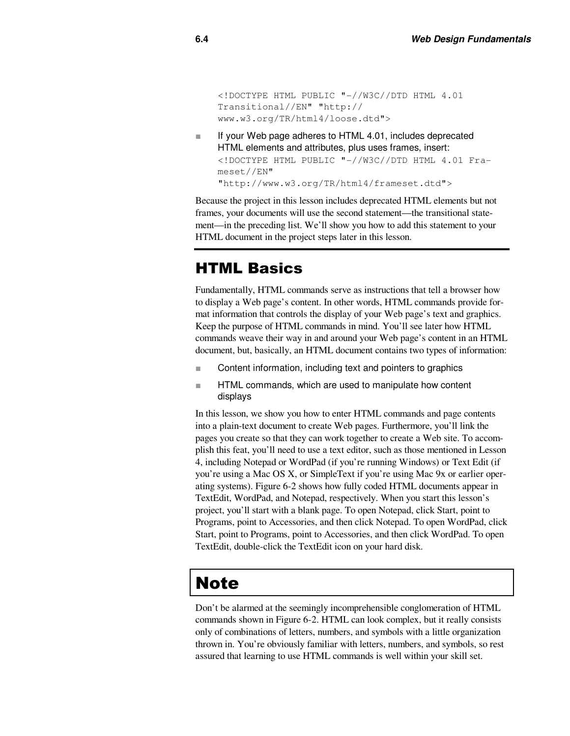```
<!DOCTYPE HTML PUBLIC "-//W3C//DTD HTML 4.01 
Transitional//EN" "http:// 
www.w3.org/TR/html4/loose.dtd">
```
■ If your Web page adheres to HTML 4.01, includes deprecated HTML elements and attributes, plus uses frames, insert: <!DOCTYPE HTML PUBLIC "-//W3C//DTD HTML 4.01 Frameset//EN" "http://www.w3.org/TR/html4/frameset.dtd">

Because the project in this lesson includes deprecated HTML elements but not frames, your documents will use the second statement—the transitional statement—in the preceding list. We'll show you how to add this statement to your HTML document in the project steps later in this lesson.

## **HTML Basics**

Fundamentally, HTML commands serve as instructions that tell a browser how to display a Web page's content. In other words, HTML commands provide format information that controls the display of your Web page's text and graphics. Keep the purpose of HTML commands in mind. You'll see later how HTML commands weave their way in and around your Web page's content in an HTML document, but, basically, an HTML document contains two types of information:

- Content information, including text and pointers to graphics
- HTML commands, which are used to manipulate how content displays

In this lesson, we show you how to enter HTML commands and page contents into a plain-text document to create Web pages. Furthermore, you'll link the pages you create so that they can work together to create a Web site. To accomplish this feat, you'll need to use a text editor, such as those mentioned in Lesson 4, including Notepad or WordPad (if you're running Windows) or Text Edit (if you're using a Mac OS X, or SimpleText if you're using Mac 9x or earlier operating systems). Figure 6-2 shows how fully coded HTML documents appear in TextEdit, WordPad, and Notepad, respectively. When you start this lesson's project, you'll start with a blank page. To open Notepad, click Start, point to Programs, point to Accessories, and then click Notepad. To open WordPad, click Start, point to Programs, point to Accessories, and then click WordPad. To open TextEdit, double-click the TextEdit icon on your hard disk.

## **Note**

Don't be alarmed at the seemingly incomprehensible conglomeration of HTML commands shown in Figure 6-2. HTML can look complex, but it really consists only of combinations of letters, numbers, and symbols with a little organization thrown in. You're obviously familiar with letters, numbers, and symbols, so rest assured that learning to use HTML commands is well within your skill set.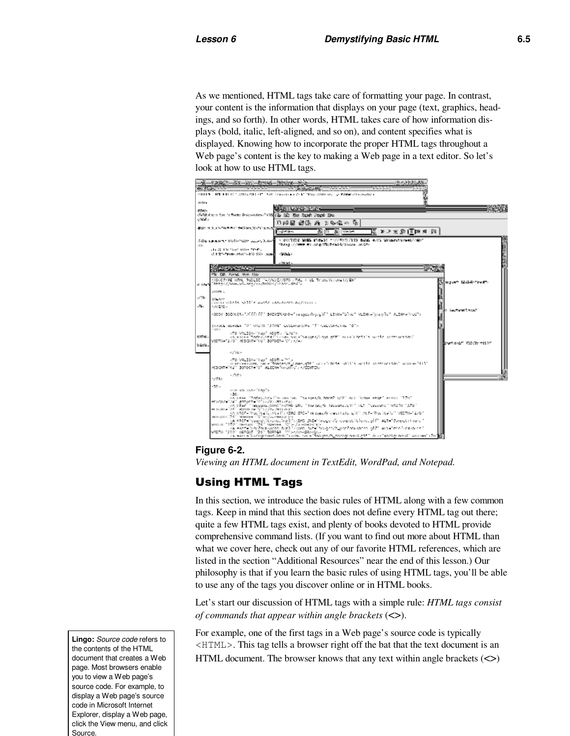As we mentioned, HTML tags take care of formatting your page. In contrast, your content is the information that displays on your page (text, graphics, headings, and so forth). In other words, HTML takes care of how information displays (bold, italic, left-aligned, and so on), and content specifies what is displayed. Knowing how to incorporate the proper HTML tags throughout a Web page's content is the key to making a Web page in a text editor. So let's look at how to use HTML tags.



#### **Figure 6-2.**

*Viewing an HTML document in TextEdit, WordPad, and Notepad.* 

### Using HTML Tags

In this section, we introduce the basic rules of HTML along with a few common tags. Keep in mind that this section does not define every HTML tag out there; quite a few HTML tags exist, and plenty of books devoted to HTML provide comprehensive command lists. (If you want to find out more about HTML than what we cover here, check out any of our favorite HTML references, which are listed in the section "Additional Resources" near the end of this lesson.) Our philosophy is that if you learn the basic rules of using HTML tags, you'll be able to use any of the tags you discover online or in HTML books.

Let's start our discussion of HTML tags with a simple rule: *HTML tags consist of commands that appear within angle brackets* (<>).

For example, one of the first tags in a Web page's source code is typically <HTML>. This tag tells a browser right off the bat that the text document is an HTML document. The browser knows that any text within angle brackets  $(\le)$ 

**Lingo:** Source code refers to the contents of the HTML document that creates a Web page. Most browsers enable you to view a Web page's source code. For example, to display a Web page's source code in Microsoft Internet Explorer, display a Web page, click the View menu, and click Source.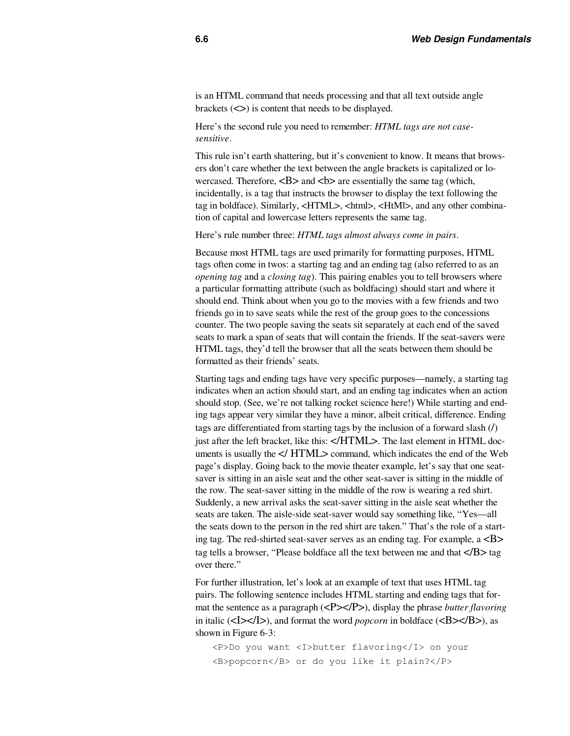is an HTML command that needs processing and that all text outside angle brackets  $(\le)$  is content that needs to be displayed.

Here's the second rule you need to remember: *HTML tags are not casesensitive*.

This rule isn't earth shattering, but it's convenient to know. It means that browsers don't care whether the text between the angle brackets is capitalized or lowercased. Therefore,  $\langle B \rangle$  and  $\langle b \rangle$  are essentially the same tag (which, incidentally, is a tag that instructs the browser to display the text following the tag in boldface). Similarly,  $\langle$ HTML>,  $\langle$ html>,  $\langle$ HtMl>, and any other combination of capital and lowercase letters represents the same tag.

Here's rule number three: *HTML tags almost always come in pairs*.

Because most HTML tags are used primarily for formatting purposes, HTML tags often come in twos: a starting tag and an ending tag (also referred to as an *opening tag* and a *closing tag*). This pairing enables you to tell browsers where a particular formatting attribute (such as boldfacing) should start and where it should end. Think about when you go to the movies with a few friends and two friends go in to save seats while the rest of the group goes to the concessions counter. The two people saving the seats sit separately at each end of the saved seats to mark a span of seats that will contain the friends. If the seat-savers were HTML tags, they'd tell the browser that all the seats between them should be formatted as their friends' seats.

Starting tags and ending tags have very specific purposes—namely, a starting tag indicates when an action should start, and an ending tag indicates when an action should stop. (See, we're not talking rocket science here!) While starting and ending tags appear very similar they have a minor, albeit critical, difference. Ending tags are differentiated from starting tags by the inclusion of a forward slash (/) just after the left bracket, like this: </HTML>. The last element in HTML documents is usually the  $\langle$  HTML $>$  command, which indicates the end of the Web page's display. Going back to the movie theater example, let's say that one seatsaver is sitting in an aisle seat and the other seat-saver is sitting in the middle of the row. The seat-saver sitting in the middle of the row is wearing a red shirt. Suddenly, a new arrival asks the seat-saver sitting in the aisle seat whether the seats are taken. The aisle-side seat-saver would say something like, "Yes—all the seats down to the person in the red shirt are taken." That's the role of a starting tag. The red-shirted seat-saver serves as an ending tag. For example,  $a < B$ tag tells a browser, "Please boldface all the text between me and that  $\langle B \rangle$  tag over there."

For further illustration, let's look at an example of text that uses HTML tag pairs. The following sentence includes HTML starting and ending tags that format the sentence as a paragraph (<P></P>), display the phrase *butter flavoring* in italic  $(\langle I \rangle \langle I \rangle)$ , and format the word *popcorn* in boldface  $(\langle B \rangle \langle B \rangle)$ , as shown in Figure 6-3:

<P>Do you want <I>butter flavoring</I> on your <B>popcorn</B> or do you like it plain?</P>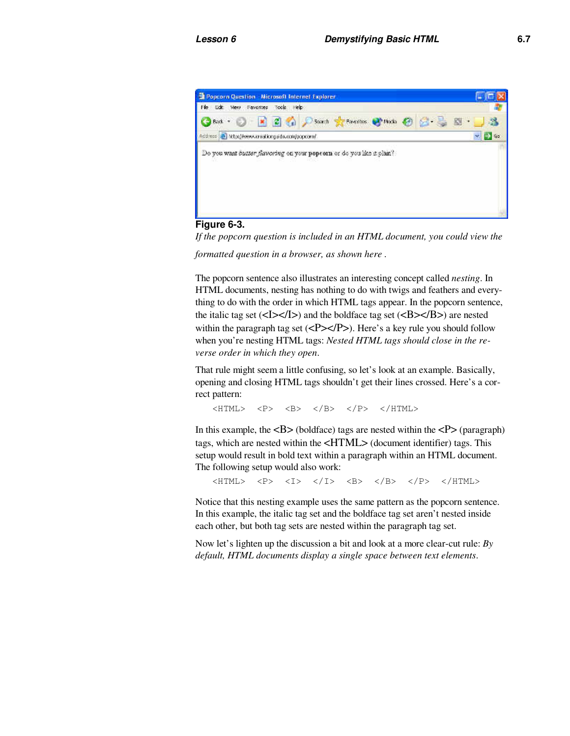

### **Figure 6-3.**

*If the popcorn question is included in an HTML document, you could view the* 

*formatted question in a browser, as shown here .* 

The popcorn sentence also illustrates an interesting concept called *nesting*. In HTML documents, nesting has nothing to do with twigs and feathers and everything to do with the order in which HTML tags appear. In the popcorn sentence, the italic tag set  $(\langle I \rangle \langle I \rangle)$  and the boldface tag set  $(\langle B \rangle \langle B \rangle)$  are nested within the paragraph tag set  $(\langle P \rangle \langle P \rangle)$ . Here's a key rule you should follow when you're nesting HTML tags: *Nested HTML tags should close in the reverse order in which they open*.

That rule might seem a little confusing, so let's look at an example. Basically, opening and closing HTML tags shouldn't get their lines crossed. Here's a correct pattern:

 $\langle$ HTML>  $\langle$ P>  $\langle$ B>  $\langle$ /B>  $\langle$ /P>  $\langle$ /HTML>

In this example, the  $\langle B \rangle$  (boldface) tags are nested within the  $\langle P \rangle$  (paragraph) tags, which are nested within the <HTML> (document identifier) tags. This setup would result in bold text within a paragraph within an HTML document. The following setup would also work:

 $\langle \text{HTML} \rangle \quad \langle \text{P} \rangle \quad \langle \text{I} \rangle \quad \langle \text{I} \rangle \quad \langle \text{B} \rangle \quad \langle \text{IB} \rangle \quad \langle \text{P} \rangle \quad \langle \text{HTML} \rangle$ 

Notice that this nesting example uses the same pattern as the popcorn sentence. In this example, the italic tag set and the boldface tag set aren't nested inside each other, but both tag sets are nested within the paragraph tag set.

Now let's lighten up the discussion a bit and look at a more clear-cut rule: *By default, HTML documents display a single space between text elements*.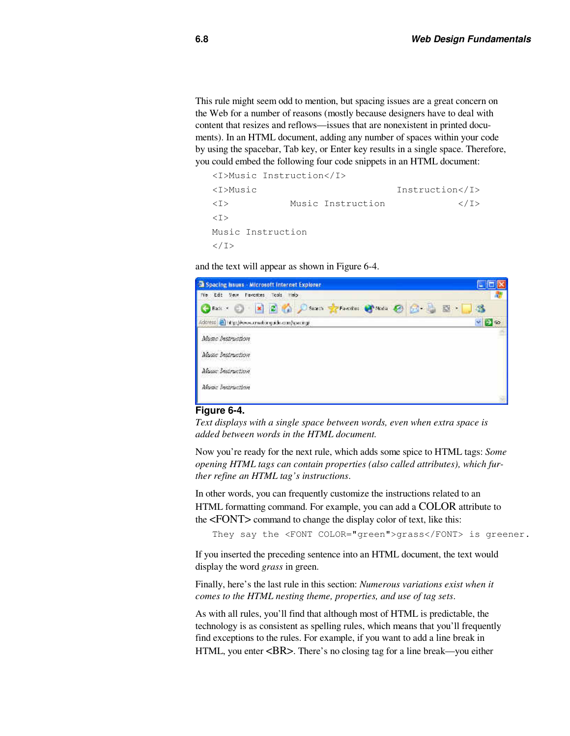This rule might seem odd to mention, but spacing issues are a great concern on the Web for a number of reasons (mostly because designers have to deal with content that resizes and reflows—issues that are nonexistent in printed documents). In an HTML document, adding any number of spaces within your code by using the spacebar, Tab key, or Enter key results in a single space. Therefore, you could embed the following four code snippets in an HTML document:

```
<I>Music Instruction</I> 
<I>Music Instruction</I> 
<I> Music Instruction </I> 
<sub>T</sub></sub>
Music Instruction 
\langle/I>
```
and the text will appear as shown in Figure 6-4.

| <b>38 Spacing Issues - Microsoft Internet Explorer</b>               |                       |
|----------------------------------------------------------------------|-----------------------|
| <b>Edt</b><br>2.676<br><b>Favorites</b><br>Tools Tielo               |                       |
| There are a control of the state<br><b>D</b> Co Desen<br>×<br>Back + | 13                    |
| Edoress a Higgs News creation guide compositing                      | $\vee$ $\bigoplus$ Go |
| Music Instruction                                                    |                       |
| Music Instruction                                                    |                       |
| Masse Instruction                                                    |                       |
| Music Instruction                                                    |                       |
|                                                                      |                       |

#### **Figure 6-4.**

*Text displays with a single space between words, even when extra space is added between words in the HTML document.* 

Now you're ready for the next rule, which adds some spice to HTML tags: *Some opening HTML tags can contain properties (also called attributes), which further refine an HTML tag's instructions*.

In other words, you can frequently customize the instructions related to an HTML formatting command. For example, you can add a COLOR attribute to the <FONT> command to change the display color of text, like this:

They say the <FONT COLOR="green">grass</FONT> is greener.

If you inserted the preceding sentence into an HTML document, the text would display the word *grass* in green.

Finally, here's the last rule in this section: *Numerous variations exist when it comes to the HTML nesting theme, properties, and use of tag sets*.

As with all rules, you'll find that although most of HTML is predictable, the technology is as consistent as spelling rules, which means that you'll frequently find exceptions to the rules. For example, if you want to add a line break in HTML, you enter <BR>. There's no closing tag for a line break—you either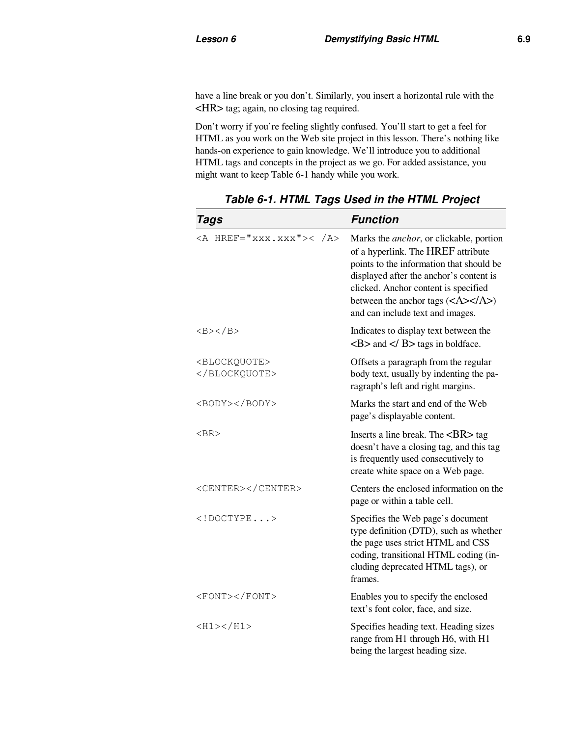have a line break or you don't. Similarly, you insert a horizontal rule with the <HR> tag; again, no closing tag required.

Don't worry if you're feeling slightly confused. You'll start to get a feel for HTML as you work on the Web site project in this lesson. There's nothing like hands-on experience to gain knowledge. We'll introduce you to additional HTML tags and concepts in the project as we go. For added assistance, you might want to keep Table 6-1 handy while you work.

| Tags                                                           | <b>Function</b>                                                                                                                                                                                                                                                                                          |
|----------------------------------------------------------------|----------------------------------------------------------------------------------------------------------------------------------------------------------------------------------------------------------------------------------------------------------------------------------------------------------|
| $\langle A \text{ HREF} = "xxx.xxx" \rangle \langle A \rangle$ | Marks the anchor, or clickable, portion<br>of a hyperlink. The HREF attribute<br>points to the information that should be<br>displayed after the anchor's content is<br>clicked. Anchor content is specified<br>between the anchor tags $(<\text{A}$ > $/\text{A}$ )<br>and can include text and images. |
| <b></b>                                                        | Indicates to display text between the<br>$\langle B \rangle$ and $\langle B \rangle$ tags in boldface.                                                                                                                                                                                                   |
| <blockquote><br/></blockquote>                                 | Offsets a paragraph from the regular<br>body text, usually by indenting the pa-<br>ragraph's left and right margins.                                                                                                                                                                                     |
| <body></body>                                                  | Marks the start and end of the Web<br>page's displayable content.                                                                                                                                                                                                                                        |
| <br>                                                           | Inserts a line break. The $\langle BR \rangle$ tag<br>doesn't have a closing tag, and this tag<br>is frequently used consecutively to<br>create white space on a Web page.                                                                                                                               |
| <center></center>                                              | Centers the enclosed information on the<br>page or within a table cell.                                                                                                                                                                                                                                  |
| $\langle$ !DOCTYPE>                                            | Specifies the Web page's document<br>type definition (DTD), such as whether<br>the page uses strict HTML and CSS<br>coding, transitional HTML coding (in-<br>cluding deprecated HTML tags), or<br>frames.                                                                                                |
| <font></font>                                                  | Enables you to specify the enclosed<br>text's font color, face, and size.                                                                                                                                                                                                                                |
| <h1></h1>                                                      | Specifies heading text. Heading sizes<br>range from H1 through H6, with H1<br>being the largest heading size.                                                                                                                                                                                            |

**Table 6-1. HTML Tags Used in the HTML Project**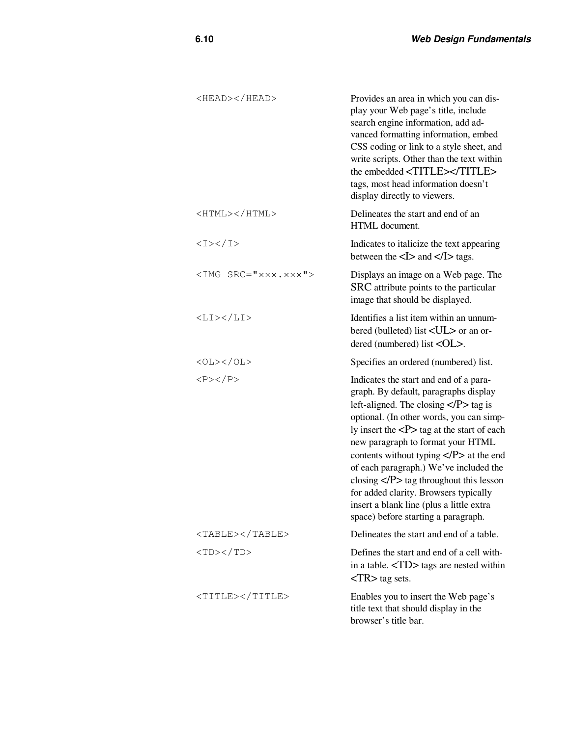| <head></head>        | Provides an area in which you can dis-<br>play your Web page's title, include<br>search engine information, add ad-<br>vanced formatting information, embed<br>CSS coding or link to a style sheet, and<br>write scripts. Other than the text within<br>the embedded <title></title><br>tags, most head information doesn't<br>display directly to viewers.                                                                                                                                                                                                    |
|----------------------|----------------------------------------------------------------------------------------------------------------------------------------------------------------------------------------------------------------------------------------------------------------------------------------------------------------------------------------------------------------------------------------------------------------------------------------------------------------------------------------------------------------------------------------------------------------|
| <html></html>        | Delineates the start and end of an<br>HTML document.                                                                                                                                                                                                                                                                                                                                                                                                                                                                                                           |
| $<$ I> $<$ /I>       | Indicates to italicize the text appearing<br>between the $< I>$ and $< I>$ tags.                                                                                                                                                                                                                                                                                                                                                                                                                                                                               |
| <img src="xxx.xxx"/> | Displays an image on a Web page. The<br>SRC attribute points to the particular<br>image that should be displayed.                                                                                                                                                                                                                                                                                                                                                                                                                                              |
| $<$ LI> $<$ /LI>     | Identifies a list item within an unnum-<br>bered (bulleted) list <ul> or an or-<br/>dered (numbered) list <ol>.</ol></ul>                                                                                                                                                                                                                                                                                                                                                                                                                                      |
| $<$ OL> $<$ /OL>     | Specifies an ordered (numbered) list.                                                                                                                                                                                                                                                                                                                                                                                                                                                                                                                          |
| <p><p>&lt;</p></p>   | Indicates the start and end of a para-<br>graph. By default, paragraphs display<br>left-aligned. The closing $\langle P \rangle$ tag is<br>optional. (In other words, you can simp-<br>ly insert the $< P$ tag at the start of each<br>new paragraph to format your HTML<br>contents without typing $\langle P \rangle$ at the end<br>of each paragraph.) We've included the<br>closing $\langle$ P $>$ tag throughout this lesson<br>for added clarity. Browsers typically<br>insert a blank line (plus a little extra<br>space) before starting a paragraph. |
| <table></table>      | Delineates the start and end of a table.                                                                                                                                                                                                                                                                                                                                                                                                                                                                                                                       |
| $<$ TD> $<$ /TD>     | Defines the start and end of a cell with-<br>in a table. $\langle TD \rangle$ tags are nested within<br>$<$ TR $>$ tag sets.                                                                                                                                                                                                                                                                                                                                                                                                                                   |
| <title></title>      | Enables you to insert the Web page's<br>title text that should display in the<br>browser's title bar.                                                                                                                                                                                                                                                                                                                                                                                                                                                          |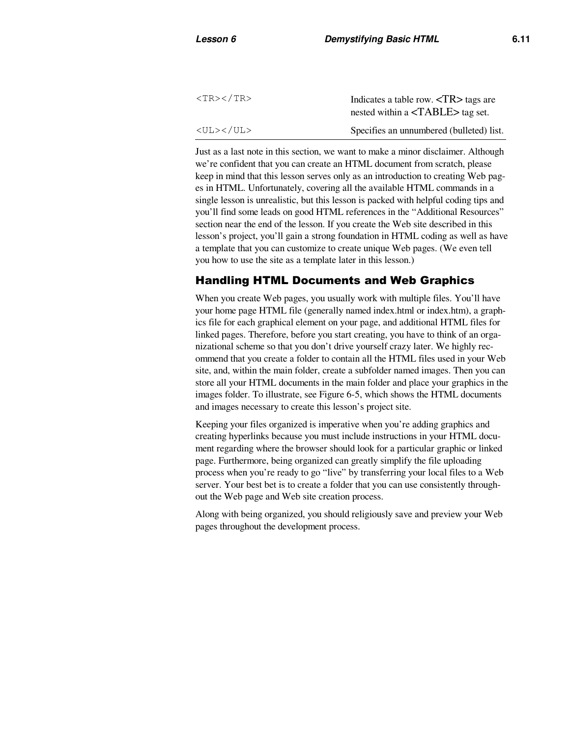| $<$ TR> $<$ /TR> | Indicates a table row. $\langle TR \rangle$ tags are    |
|------------------|---------------------------------------------------------|
|                  | nested within a $\langle \text{TABLE} \rangle$ tag set. |
| <ul></ul>        | Specifies an unnumbered (bulleted) list.                |

Just as a last note in this section, we want to make a minor disclaimer. Although we're confident that you can create an HTML document from scratch, please keep in mind that this lesson serves only as an introduction to creating Web pages in HTML. Unfortunately, covering all the available HTML commands in a single lesson is unrealistic, but this lesson is packed with helpful coding tips and you'll find some leads on good HTML references in the "Additional Resources" section near the end of the lesson. If you create the Web site described in this lesson's project, you'll gain a strong foundation in HTML coding as well as have a template that you can customize to create unique Web pages. (We even tell you how to use the site as a template later in this lesson.)

### Handling HTML Documents and Web Graphics

When you create Web pages, you usually work with multiple files. You'll have your home page HTML file (generally named index.html or index.htm), a graphics file for each graphical element on your page, and additional HTML files for linked pages. Therefore, before you start creating, you have to think of an organizational scheme so that you don't drive yourself crazy later. We highly recommend that you create a folder to contain all the HTML files used in your Web site, and, within the main folder, create a subfolder named images. Then you can store all your HTML documents in the main folder and place your graphics in the images folder. To illustrate, see Figure 6-5, which shows the HTML documents and images necessary to create this lesson's project site.

Keeping your files organized is imperative when you're adding graphics and creating hyperlinks because you must include instructions in your HTML document regarding where the browser should look for a particular graphic or linked page. Furthermore, being organized can greatly simplify the file uploading process when you're ready to go "live" by transferring your local files to a Web server. Your best bet is to create a folder that you can use consistently throughout the Web page and Web site creation process.

Along with being organized, you should religiously save and preview your Web pages throughout the development process.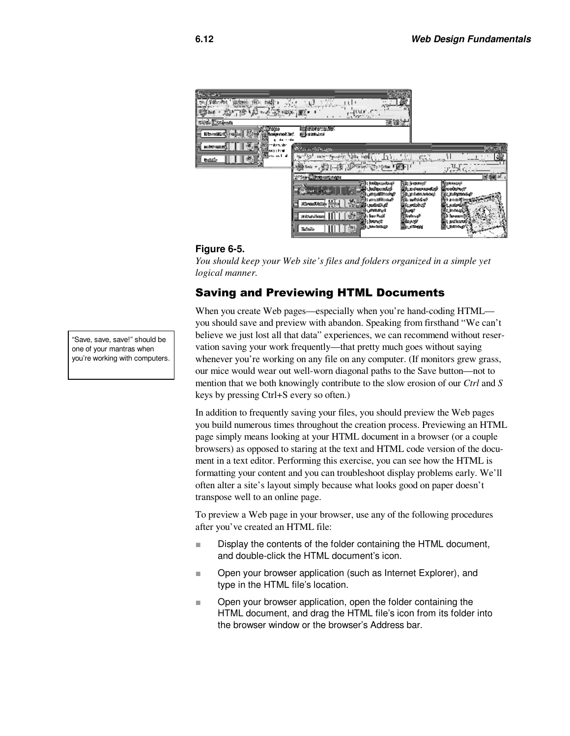| <b>State Str</b><br><b>NORTH CORNER</b><br>32<br><b>Research</b> (Co)                                | 11,<br>$\mathbf{U}$<br>,<br>fron C<br>$n_{1}$ for $0, 1, 1$<br>$\cdots$<br>覆護法,<br>illaristoria dist<br><b>All's researched</b>                                               |                                                                                                                              |                                                                               |
|------------------------------------------------------------------------------------------------------|-------------------------------------------------------------------------------------------------------------------------------------------------------------------------------|------------------------------------------------------------------------------------------------------------------------------|-------------------------------------------------------------------------------|
| シコンカウ<br><b>INSURANCE</b><br><b>Will need to all</b><br>®i∾nte<br><u>ilis</u><br><b>Public</b><br>58 | Асказательных п<br><b>A-SE WOODLER</b><br>2014 Caroly writings<br>c Antiquezado qui                                                                                           | r (r<br>m.<br>FOR Browned"                                                                                                   | 邀<br>$1 - 1 - 1$<br>y <sup>u</sup> sta<br>活袋<br><b>Персинал</b>               |
|                                                                                                      | n-skibin t-skot<br><b>NUMBER</b><br><b>Kirga Tah</b><br>ໃນພຣະມີ<br><b>Contractor</b><br>has fuel<br><b>Hitchcology</b><br>23 Januari 1<br>⊞⊪uten magn<br>us<br><b>Bachelo</b> | <u>Як и вотновай</u><br>Sharamanoul<br><b>Filte manufaction</b><br>Blueskal<br>Show"<br>Bleatan pF<br>Bland<br><b>BUTHIN</b> | Bilino andra kato<br>Pär industriala<br><b>MARKET</b><br><b>Witness</b><br>42 |

### **Figure 6-5.**

*You should keep your Web site's files and folders organized in a simple yet logical manner.* 

### **Saving and Previewing HTML Documents**

When you create Web pages—especially when you're hand-coding HTML you should save and preview with abandon. Speaking from firsthand "We can't believe we just lost all that data" experiences, we can recommend without reservation saving your work frequently—that pretty much goes without saying whenever you're working on any file on any computer. (If monitors grew grass, our mice would wear out well-worn diagonal paths to the Save button—not to mention that we both knowingly contribute to the slow erosion of our *Ctrl* and *S* keys by pressing Ctrl+S every so often.)

In addition to frequently saving your files, you should preview the Web pages you build numerous times throughout the creation process. Previewing an HTML page simply means looking at your HTML document in a browser (or a couple browsers) as opposed to staring at the text and HTML code version of the document in a text editor. Performing this exercise, you can see how the HTML is formatting your content and you can troubleshoot display problems early. We'll often alter a site's layout simply because what looks good on paper doesn't transpose well to an online page.

To preview a Web page in your browser, use any of the following procedures after you've created an HTML file:

- Display the contents of the folder containing the HTML document, and double-click the HTML document's icon.
- Open your browser application (such as Internet Explorer), and type in the HTML file's location.
- Open your browser application, open the folder containing the HTML document, and drag the HTML file's icon from its folder into the browser window or the browser's Address bar.

"Save, save, save!" should be one of your mantras when you're working with computers.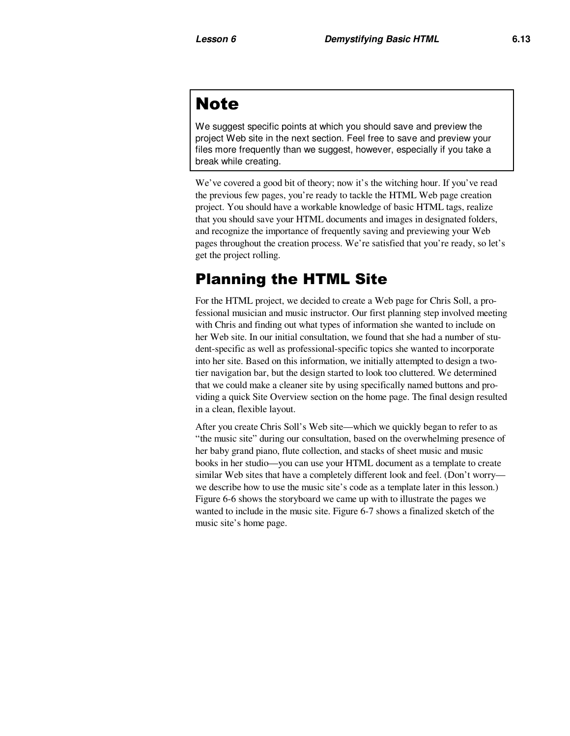## **Note**

We suggest specific points at which you should save and preview the project Web site in the next section. Feel free to save and preview your files more frequently than we suggest, however, especially if you take a break while creating.

We've covered a good bit of theory; now it's the witching hour. If you've read the previous few pages, you're ready to tackle the HTML Web page creation project. You should have a workable knowledge of basic HTML tags, realize that you should save your HTML documents and images in designated folders, and recognize the importance of frequently saving and previewing your Web pages throughout the creation process. We're satisfied that you're ready, so let's get the project rolling.

## **Planning the HTML Site**

For the HTML project, we decided to create a Web page for Chris Soll, a professional musician and music instructor. Our first planning step involved meeting with Chris and finding out what types of information she wanted to include on her Web site. In our initial consultation, we found that she had a number of student-specific as well as professional-specific topics she wanted to incorporate into her site. Based on this information, we initially attempted to design a twotier navigation bar, but the design started to look too cluttered. We determined that we could make a cleaner site by using specifically named buttons and providing a quick Site Overview section on the home page. The final design resulted in a clean, flexible layout.

After you create Chris Soll's Web site—which we quickly began to refer to as "the music site" during our consultation, based on the overwhelming presence of her baby grand piano, flute collection, and stacks of sheet music and music books in her studio—you can use your HTML document as a template to create similar Web sites that have a completely different look and feel. (Don't worry we describe how to use the music site's code as a template later in this lesson.) Figure 6-6 shows the storyboard we came up with to illustrate the pages we wanted to include in the music site. Figure 6-7 shows a finalized sketch of the music site's home page.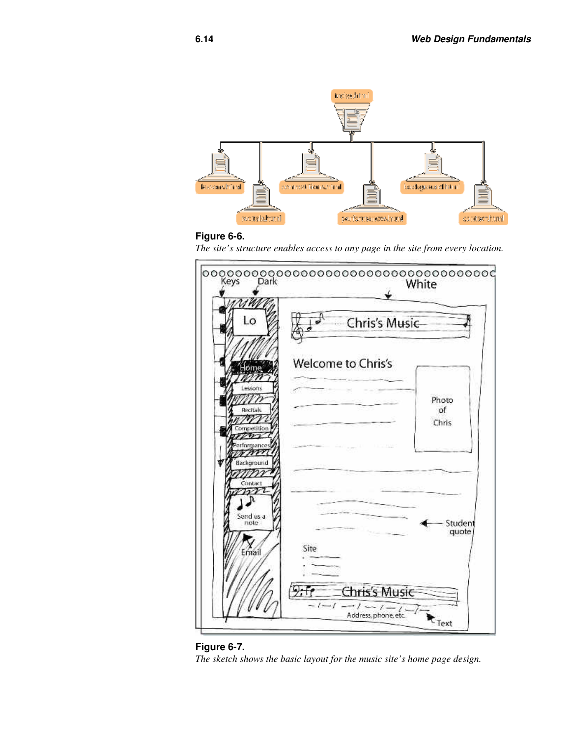

### **Figure 6-6.**

*The site's structure enables access to any page in the site from every location.* 



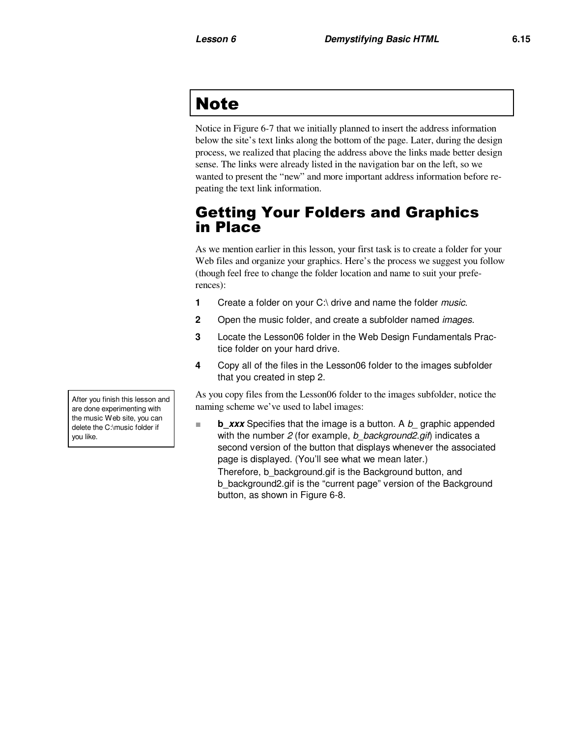# **Note**

Notice in Figure 6-7 that we initially planned to insert the address information below the site's text links along the bottom of the page. Later, during the design process, we realized that placing the address above the links made better design sense. The links were already listed in the navigation bar on the left, so we wanted to present the "new" and more important address information before repeating the text link information.

## **Getting Your Folders and Graphics** in Place

As we mention earlier in this lesson, your first task is to create a folder for your Web files and organize your graphics. Here's the process we suggest you follow (though feel free to change the folder location and name to suit your preferences):

- **1** Create a folder on your C:\ drive and name the folder *music*.
- **2** Open the music folder, and create a subfolder named images.
- **3** Locate the Lesson06 folder in the Web Design Fundamentals Practice folder on your hard drive.
- **4** Copy all of the files in the Lesson06 folder to the images subfolder that you created in step 2.

As you copy files from the Lesson06 folder to the images subfolder, notice the naming scheme we've used to label images:

■ **b** *xxx* Specifies that the image is a button. A b graphic appended with the number 2 (for example, b background2.gif) indicates a second version of the button that displays whenever the associated page is displayed. (You'll see what we mean later.) Therefore, b background.gif is the Background button, and b\_background2.gif is the "current page" version of the Background

button, as shown in Figure 6-8.

After you finish this lesson and are done experimenting with the music Web site, you can delete the C:\music folder if you like.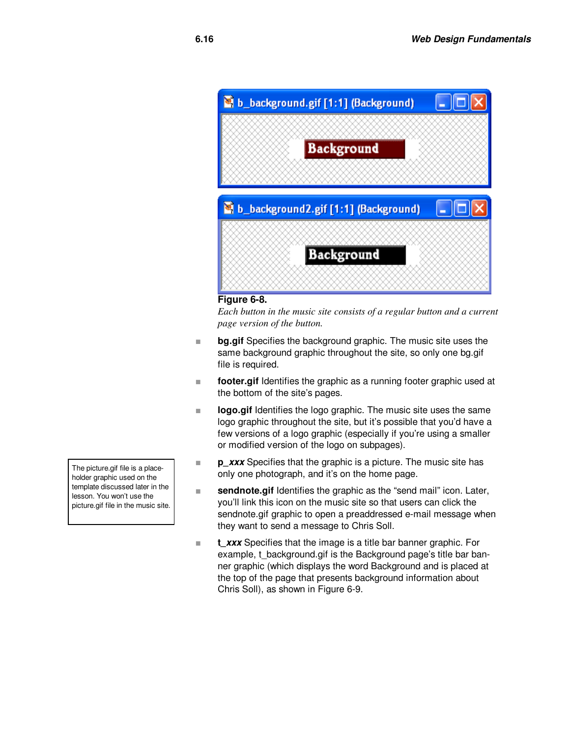

**Figure 6-8.** 

*Each button in the music site consists of a regular button and a current page version of the button.* 

- **bg.gif** Specifies the background graphic. The music site uses the same background graphic throughout the site, so only one bg.gif file is required.
- **footer.gif** Identifies the graphic as a running footer graphic used at the bottom of the site's pages.
- **logo.gif** Identifies the logo graphic. The music site uses the same logo graphic throughout the site, but it's possible that you'd have a few versions of a logo graphic (especially if you're using a smaller or modified version of the logo on subpages).
- **p\_xxx** Specifies that the graphic is a picture. The music site has only one photograph, and it's on the home page.
- **sendnote.gif** Identifies the graphic as the "send mail" icon. Later, you'll link this icon on the music site so that users can click the sendnote.gif graphic to open a preaddressed e-mail message when they want to send a message to Chris Soll.
- **t***xxx* **Specifies that the image is a title bar banner graphic. For** example, t background.gif is the Background page's title bar banner graphic (which displays the word Background and is placed at the top of the page that presents background information about Chris Soll), as shown in Figure 6-9.

The picture.gif file is a placeholder graphic used on the template discussed later in the lesson. You won't use the picture.gif file in the music site.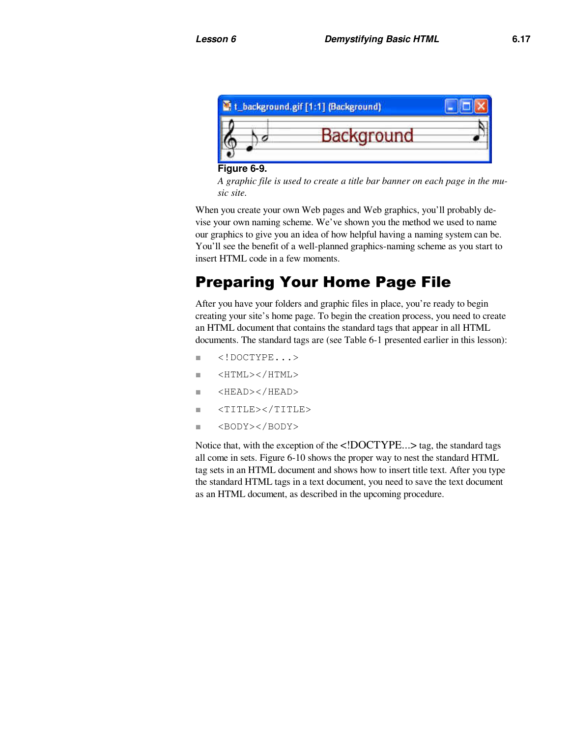

*A graphic file is used to create a title bar banner on each page in the music site.* 

When you create your own Web pages and Web graphics, you'll probably devise your own naming scheme. We've shown you the method we used to name our graphics to give you an idea of how helpful having a naming system can be. You'll see the benefit of a well-planned graphics-naming scheme as you start to insert HTML code in a few moments.

## **Preparing Your Home Page File**

After you have your folders and graphic files in place, you're ready to begin creating your site's home page. To begin the creation process, you need to create an HTML document that contains the standard tags that appear in all HTML documents. The standard tags are (see Table 6-1 presented earlier in this lesson):

- <!DOCTYPE...>
- <HTML></HTML>
- <HEAD></HEAD>
- <TITLE></TITLE>
- <BODY></BODY>

Notice that, with the exception of the <!DOCTYPE...> tag, the standard tags all come in sets. Figure 6-10 shows the proper way to nest the standard HTML tag sets in an HTML document and shows how to insert title text. After you type the standard HTML tags in a text document, you need to save the text document as an HTML document, as described in the upcoming procedure.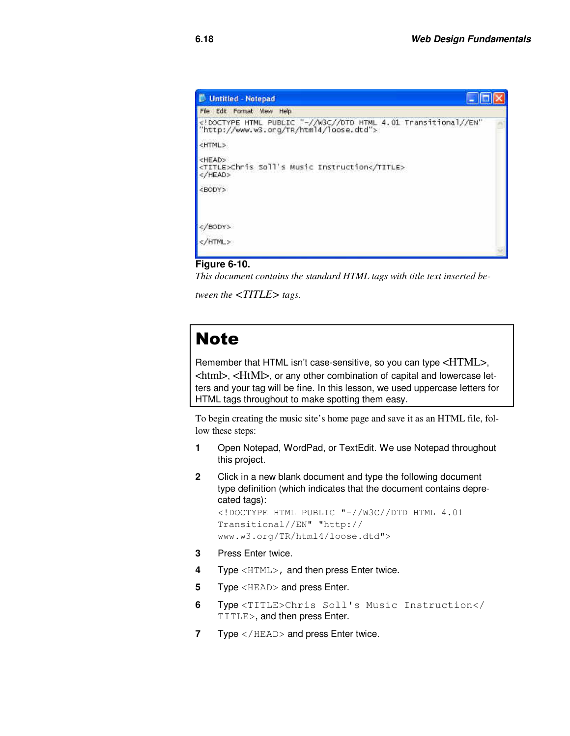

### **Figure 6-10.**

*This document contains the standard HTML tags with title text inserted be-*

*tween the <TITLE> tags.* 

## **Note**

Remember that HTML isn't case-sensitive, so you can type <HTML>, <html>, <HtMl>, or any other combination of capital and lowercase letters and your tag will be fine. In this lesson, we used uppercase letters for HTML tags throughout to make spotting them easy.

To begin creating the music site's home page and save it as an HTML file, follow these steps:

- **1** Open Notepad, WordPad, or TextEdit. We use Notepad throughout this project.
- **2** Click in a new blank document and type the following document type definition (which indicates that the document contains deprecated tags): <!DOCTYPE HTML PUBLIC "-//W3C//DTD HTML 4.01

```
Transitional//EN" "http:// 
www.w3.org/TR/html4/loose.dtd">
```
- **3** Press Enter twice.
- **4** Type <HTML>, and then press Enter twice.
- **5** Type <HEAD> and press Enter.
- **6** Type <TITLE>Chris Soll's Music Instruction</ TITLE>, and then press Enter.
- **7** Type </HEAD> and press Enter twice.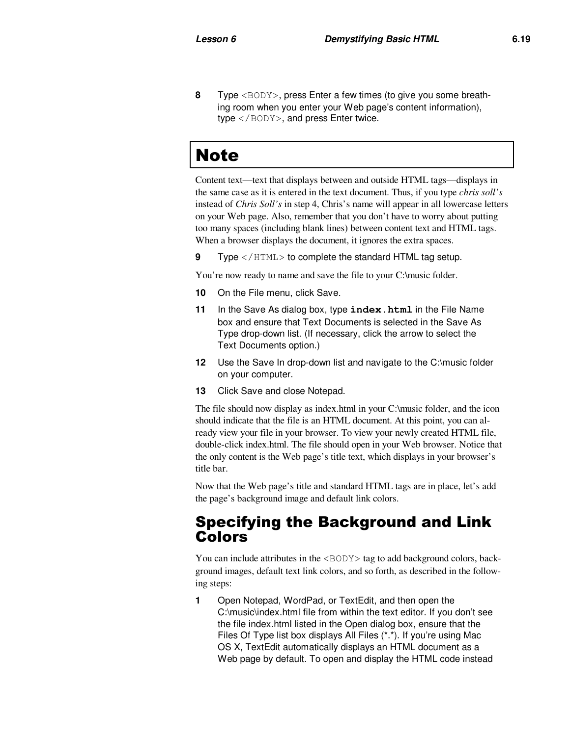**8** Type <BODY>, press Enter a few times (to give you some breathing room when you enter your Web page's content information), type </BODY>, and press Enter twice.

# **Note**

Content text—text that displays between and outside HTML tags—displays in the same case as it is entered in the text document. Thus, if you type *chris soll's* instead of *Chris Soll's* in step 4, Chris's name will appear in all lowercase letters on your Web page. Also, remember that you don't have to worry about putting too many spaces (including blank lines) between content text and HTML tags. When a browser displays the document, it ignores the extra spaces.

**9** Type </HTML> to complete the standard HTML tag setup.

You're now ready to name and save the file to your C:\music folder.

- **10** On the File menu, click Save.
- **11** In the Save As dialog box, type **index.html** in the File Name box and ensure that Text Documents is selected in the Save As Type drop-down list. (If necessary, click the arrow to select the Text Documents option.)
- **12** Use the Save In drop-down list and navigate to the C:\music folder on your computer.
- **13** Click Save and close Notepad.

The file should now display as index.html in your C:\music folder, and the icon should indicate that the file is an HTML document. At this point, you can already view your file in your browser. To view your newly created HTML file, double-click index.html. The file should open in your Web browser. Notice that the only content is the Web page's title text, which displays in your browser's title bar.

Now that the Web page's title and standard HTML tags are in place, let's add the page's background image and default link colors.

## Specifying the Background and Link **Colors**

You can include attributes in the <BODY> tag to add background colors, background images, default text link colors, and so forth, as described in the following steps:

**1** Open Notepad, WordPad, or TextEdit, and then open the C:\music\index.html file from within the text editor. If you don't see the file index.html listed in the Open dialog box, ensure that the Files Of Type list box displays All Files (\*.\*). If you're using Mac OS X, TextEdit automatically displays an HTML document as a Web page by default. To open and display the HTML code instead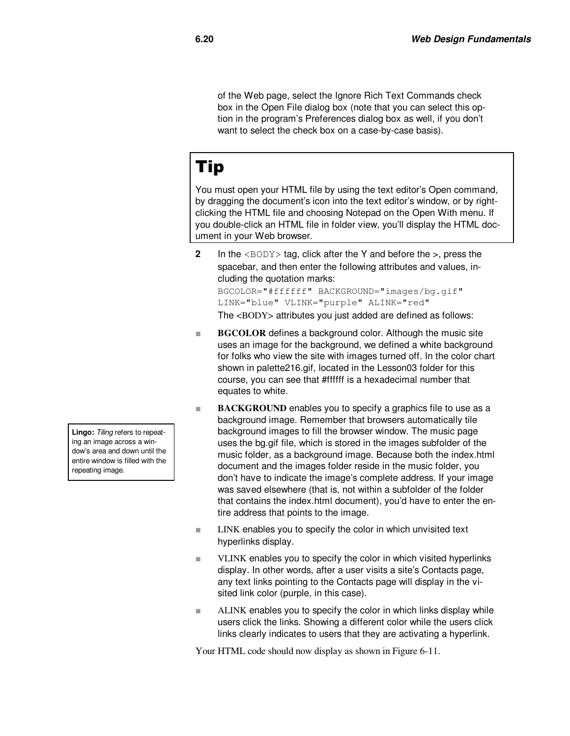of the Web page, select the Ignore Rich Text Commands check box in the Open File dialog box (note that you can select this option in the program's Preferences dialog box as well, if you don't want to select the check box on a case-by-case basis).

# Tip

You must open your HTML file by using the text editor's Open command, by dragging the document's icon into the text editor's window, or by rightclicking the HTML file and choosing Notepad on the Open With menu. If you double-click an HTML file in folder view, you'll display the HTML document in your Web browser.

**2** In the <BODY> tag, click after the Y and before the >, press the spacebar, and then enter the following attributes and values, including the quotation marks:

BGCOLOR="#ffffff" BACKGROUND="images/bg.gif" LINK="blue" VLINK="purple" ALINK="red"

The <BODY> attributes you just added are defined as follows:

- **BGCOLOR** defines a background color. Although the music site uses an image for the background, we defined a white background for folks who view the site with images turned off. In the color chart shown in palette216.gif, located in the Lesson03 folder for this course, you can see that #ffffff is a hexadecimal number that equates to white.
- **BACKGROUND** enables you to specify a graphics file to use as a background image. Remember that browsers automatically tile background images to fill the browser window. The music page uses the bg.gif file, which is stored in the images subfolder of the music folder, as a background image. Because both the index.html document and the images folder reside in the music folder, you don't have to indicate the image's complete address. If your image was saved elsewhere (that is, not within a subfolder of the folder that contains the index.html document), you'd have to enter the entire address that points to the image.
- LINK enables you to specify the color in which unvisited text hyperlinks display.
- VLINK enables you to specify the color in which visited hyperlinks display. In other words, after a user visits a site's Contacts page, any text links pointing to the Contacts page will display in the visited link color (purple, in this case).
- ALINK enables you to specify the color in which links display while users click the links. Showing a different color while the users click links clearly indicates to users that they are activating a hyperlink.

Your HTML code should now display as shown in Figure 6-11.

**Lingo:** Tiling refers to repeating an image across a window's area and down until the entire window is filled with the repeating image.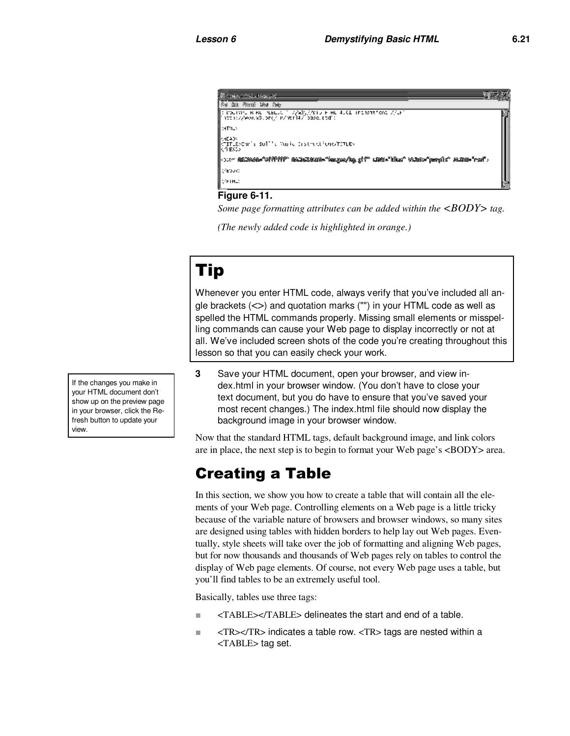

### **Figure 6-11.**

*Some page formatting attributes can be added within the*  $\langle BODY \rangle$  *tag.* 

*(The newly added code is highlighted in orange.)* 

# Tip

Whenever you enter HTML code, always verify that you've included all angle brackets (<>) and quotation marks ("") in your HTML code as well as spelled the HTML commands properly. Missing small elements or misspelling commands can cause your Web page to display incorrectly or not at all. We've included screen shots of the code you're creating throughout this lesson so that you can easily check your work.

**3** Save your HTML document, open your browser, and view index.html in your browser window. (You don't have to close your text document, but you do have to ensure that you've saved your most recent changes.) The index.html file should now display the background image in your browser window.

Now that the standard HTML tags, default background image, and link colors are in place, the next step is to begin to format your Web page's <BODY> area.

## **Creating a Table**

In this section, we show you how to create a table that will contain all the elements of your Web page. Controlling elements on a Web page is a little tricky because of the variable nature of browsers and browser windows, so many sites are designed using tables with hidden borders to help lay out Web pages. Eventually, style sheets will take over the job of formatting and aligning Web pages, but for now thousands and thousands of Web pages rely on tables to control the display of Web page elements. Of course, not every Web page uses a table, but you'll find tables to be an extremely useful tool.

Basically, tables use three tags:

- <TABLE></TABLE> delineates the start and end of a table.
- <TR></TR> indicates a table row. <TR> tags are nested within a <TABLE> tag set.

If the changes you make in your HTML document don't show up on the preview page in your browser, click the Refresh button to update your view.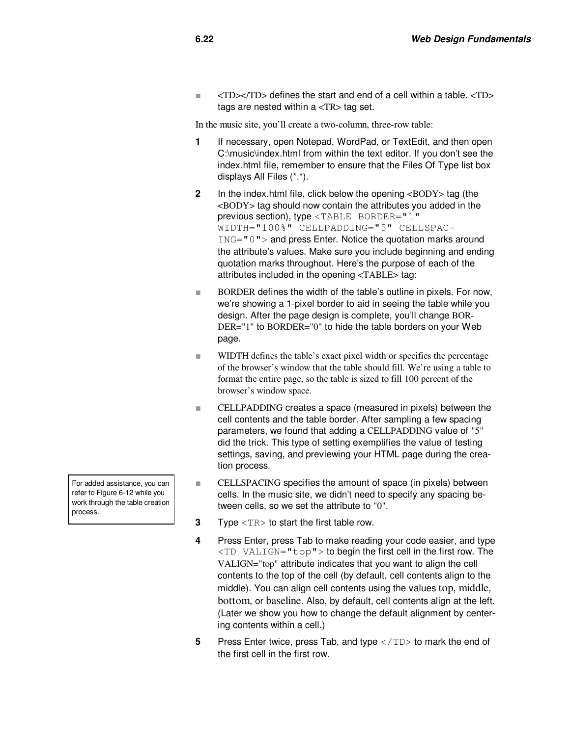$\blacksquare$  <TD> $\lt$ /TD> defines the start and end of a cell within a table.  $\lt$ TD> tags are nested within a <TR> tag set.

In the music site, you'll create a two-column, three-row table:

- **1** If necessary, open Notepad, WordPad, or TextEdit, and then open C:\music\index.html from within the text editor. If you don't see the index.html file, remember to ensure that the Files Of Type list box displays All Files (\*.\*).
- **2** In the index.html file, click below the opening <BODY> tag (the  $<$ BODY $>$  tag should now contain the attributes you added in the previous section), type <TABLE BORDER="1" WIDTH="100%" CELLPADDING="5" CELLSPAC-ING="0"> and press Enter. Notice the quotation marks around the attribute's values. Make sure you include beginning and ending quotation marks throughout. Here's the purpose of each of the attributes included in the opening <TABLE> tag:
- BORDER defines the width of the table's outline in pixels. For now, we're showing a 1-pixel border to aid in seeing the table while you design. After the page design is complete, you'll change BOR-DER="1" to BORDER="0" to hide the table borders on your Web page.
- WIDTH defines the table's exact pixel width or specifies the percentage of the browser's window that the table should fill. We're using a table to format the entire page, so the table is sized to fill 100 percent of the browser's window space.
- CELLPADDING creates a space (measured in pixels) between the cell contents and the table border. After sampling a few spacing parameters, we found that adding a CELLPADDING value of "5" did the trick. This type of setting exemplifies the value of testing settings, saving, and previewing your HTML page during the creation process.
- CELLSPACING specifies the amount of space (in pixels) between cells. In the music site, we didn't need to specify any spacing between cells, so we set the attribute to "0".
- **3** Type <TR> to start the first table row.
- **4** Press Enter, press Tab to make reading your code easier, and type <TD VALIGN="top"> to begin the first cell in the first row. The VALIGN="top" attribute indicates that you want to align the cell contents to the top of the cell (by default, cell contents align to the middle). You can align cell contents using the values top, middle, bottom, or baseline. Also, by default, cell contents align at the left. (Later we show you how to change the default alignment by centering contents within a cell.)
- **5** Press Enter twice, press Tab, and type </TD> to mark the end of the first cell in the first row.

For added assistance, you can refer to Figure 6-12 while you work through the table creation process.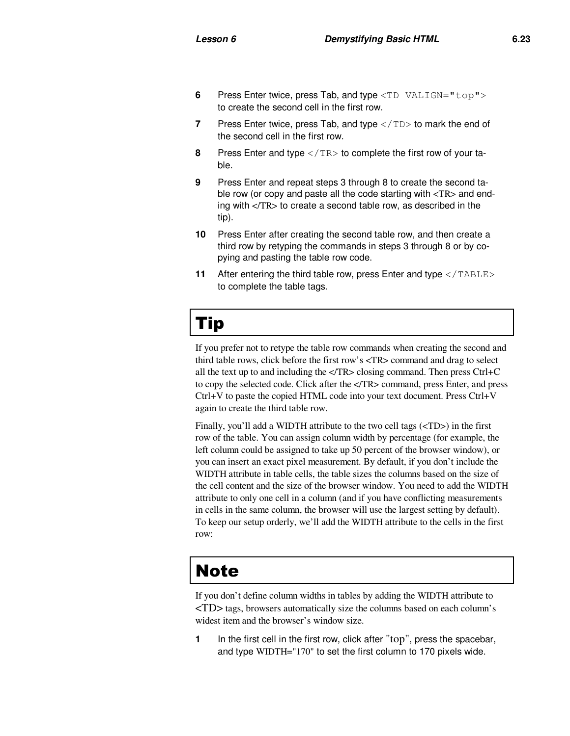- **6** Press Enter twice, press Tab, and type <TD VALIGN="top"> to create the second cell in the first row.
- **7** Press Enter twice, press Tab, and type  $\langle$   $\langle$  TD $\rangle$  to mark the end of the second cell in the first row.
- **8** Press Enter and type </TR> to complete the first row of your table.
- **9** Press Enter and repeat steps 3 through 8 to create the second table row (or copy and paste all the code starting with <TR> and ending with </TR> to create a second table row, as described in the tip).
- **10** Press Enter after creating the second table row, and then create a third row by retyping the commands in steps 3 through 8 or by copying and pasting the table row code.
- **11** After entering the third table row, press Enter and type </TABLE> to complete the table tags.

# **Tip**

If you prefer not to retype the table row commands when creating the second and third table rows, click before the first row's <TR> command and drag to select all the text up to and including the  $\langle T\text{R} \rangle$  closing command. Then press Ctrl+C to copy the selected code. Click after the </TR> command, press Enter, and press Ctrl+V to paste the copied HTML code into your text document. Press Ctrl+V again to create the third table row.

Finally, you'll add a WIDTH attribute to the two cell tags (<TD>) in the first row of the table. You can assign column width by percentage (for example, the left column could be assigned to take up 50 percent of the browser window), or you can insert an exact pixel measurement. By default, if you don't include the WIDTH attribute in table cells, the table sizes the columns based on the size of the cell content and the size of the browser window. You need to add the WIDTH attribute to only one cell in a column (and if you have conflicting measurements in cells in the same column, the browser will use the largest setting by default). To keep our setup orderly, we'll add the WIDTH attribute to the cells in the first row:

# **Note**

If you don't define column widths in tables by adding the WIDTH attribute to <TD> tags, browsers automatically size the columns based on each column's widest item and the browser's window size.

**1** In the first cell in the first row, click after "top", press the spacebar, and type WIDTH="170" to set the first column to 170 pixels wide.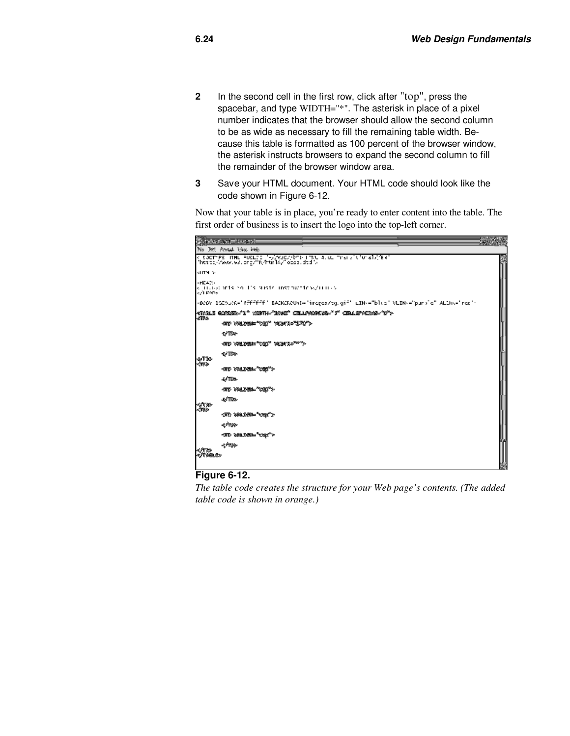- **2** In the second cell in the first row, click after "top", press the spacebar, and type WIDTH="\*". The asterisk in place of a pixel number indicates that the browser should allow the second column to be as wide as necessary to fill the remaining table width. Because this table is formatted as 100 percent of the browser window, the asterisk instructs browsers to expand the second column to fill the remainder of the browser window area.
- **3** Save your HTML document. Your HTML code should look like the code shown in Figure 6-12.

Now that your table is in place, you're ready to enter content into the table. The first order of business is to insert the logo into the top-left corner.



### **Figure 6-12.**

*The table code creates the structure for your Web page's contents. (The added table code is shown in orange.)*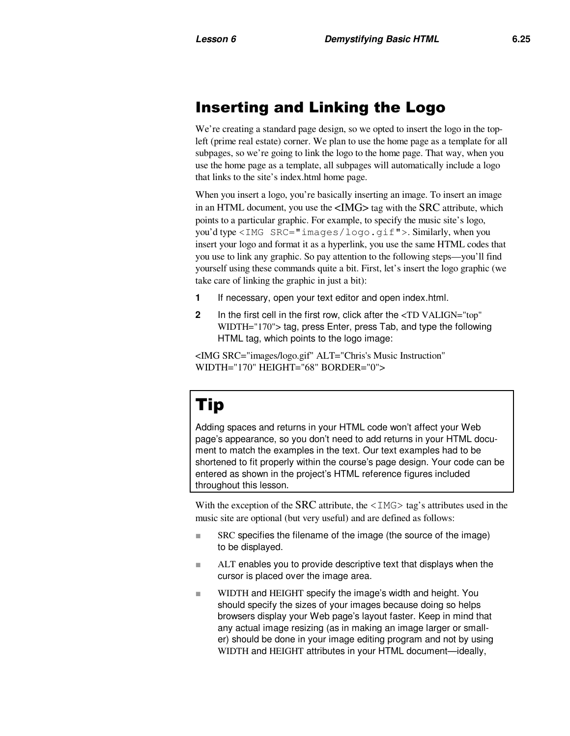## Inserting and Linking the Logo

We're creating a standard page design, so we opted to insert the logo in the topleft (prime real estate) corner. We plan to use the home page as a template for all subpages, so we're going to link the logo to the home page. That way, when you use the home page as a template, all subpages will automatically include a logo that links to the site's index.html home page.

When you insert a logo, you're basically inserting an image. To insert an image in an HTML document, you use the  $\langle M|G \rangle$  tag with the SRC attribute, which points to a particular graphic. For example, to specify the music site's logo, you'd type <IMG SRC="images/logo.gif">. Similarly, when you insert your logo and format it as a hyperlink, you use the same HTML codes that you use to link any graphic. So pay attention to the following steps—you'll find yourself using these commands quite a bit. First, let's insert the logo graphic (we take care of linking the graphic in just a bit):

- **1** If necessary, open your text editor and open index.html.
- **2** In the first cell in the first row, click after the <TD VALIGN="top" WIDTH="170"> tag, press Enter, press Tab, and type the following HTML tag, which points to the logo image:

<IMG SRC="images/logo.gif" ALT="Chris's Music Instruction" WIDTH="170" HEIGHT="68" BORDER="0">

# Tip

Adding spaces and returns in your HTML code won't affect your Web page's appearance, so you don't need to add returns in your HTML document to match the examples in the text. Our text examples had to be shortened to fit properly within the course's page design. Your code can be entered as shown in the project's HTML reference figures included throughout this lesson.

With the exception of the SRC attribute, the  $\langle 1 \text{MG} \rangle$  tag's attributes used in the music site are optional (but very useful) and are defined as follows:

- SRC specifies the filename of the image (the source of the image) to be displayed.
- ALT enables you to provide descriptive text that displays when the cursor is placed over the image area.
- WIDTH and HEIGHT specify the image's width and height. You should specify the sizes of your images because doing so helps browsers display your Web page's layout faster. Keep in mind that any actual image resizing (as in making an image larger or smaller) should be done in your image editing program and not by using WIDTH and HEIGHT attributes in your HTML document—ideally,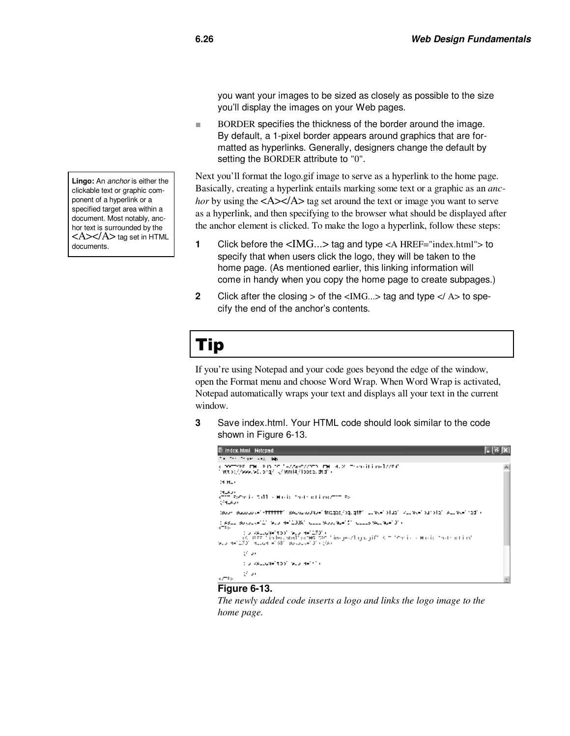you want your images to be sized as closely as possible to the size you'll display the images on your Web pages.

■ BORDER specifies the thickness of the border around the image. By default, a 1-pixel border appears around graphics that are formatted as hyperlinks. Generally, designers change the default by setting the BORDER attribute to "0".

Next you'll format the logo.gif image to serve as a hyperlink to the home page. Basically, creating a hyperlink entails marking some text or a graphic as an *anchor* by using the  $\langle A \rangle \langle A \rangle$  tag set around the text or image you want to serve as a hyperlink, and then specifying to the browser what should be displayed after the anchor element is clicked. To make the logo a hyperlink, follow these steps:

- **1** Click before the <IMG...> tag and type <A HREF="index.html"> to specify that when users click the logo, they will be taken to the home page. (As mentioned earlier, this linking information will come in handy when you copy the home page to create subpages.)
- **2** Click after the closing > of the <IMG...> tag and type </ A> to specify the end of the anchor's contents.

# Tip

If you're using Notepad and your code goes beyond the edge of the window, open the Format menu and choose Word Wrap. When Word Wrap is activated, Notepad automatically wraps your text and displays all your text in the current window.

**3** Save index.html. Your HTML code should look similar to the code shown in Figure 6-13.



### **Figure 6-13.**

*The newly added code inserts a logo and links the logo image to the home page.* 

**Lingo:** An anchor is either the clickable text or graphic component of a hyperlink or a specified target area within a document. Most notably, anchor text is surrounded by the  $<$ A $>$  $<$ /A $>$ tag set in HTML documents.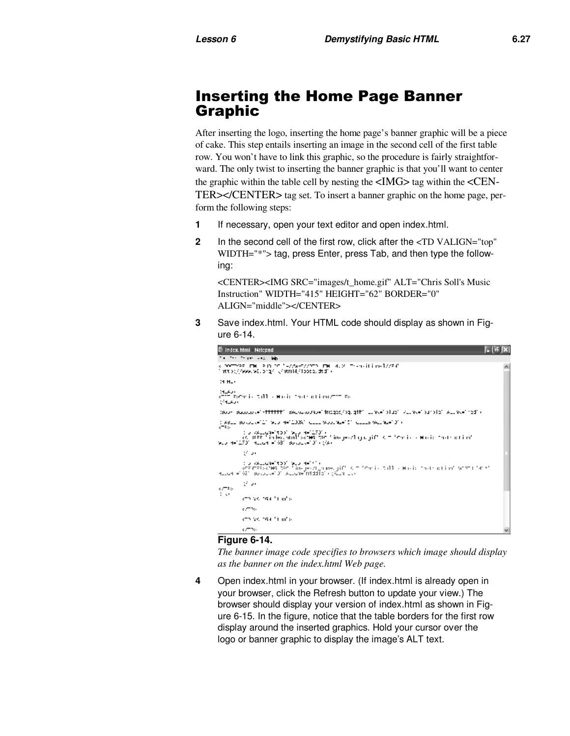## **Inserting the Home Page Banner Graphic**

After inserting the logo, inserting the home page's banner graphic will be a piece of cake. This step entails inserting an image in the second cell of the first table row. You won't have to link this graphic, so the procedure is fairly straightforward. The only twist to inserting the banner graphic is that you'll want to center the graphic within the table cell by nesting the  $\langle$ IMG $>$  tag within the  $\langle$ CEN-TER></CENTER> tag set. To insert a banner graphic on the home page, perform the following steps:

- **1** If necessary, open your text editor and open index.html.
- **2** In the second cell of the first row, click after the <TD VALIGN="top" WIDTH="\*"> tag, press Enter, press Tab, and then type the following:

 <CENTER><IMG SRC="images/t\_home.gif" ALT="Chris Soll's Music Instruction" WIDTH="415" HEIGHT="62" BORDER="0" ALIGN="middle"></CENTER>

**3** Save index.html. Your HTML code should display as shown in Figure 6-14.

| Index Mml Notepad                                                                                                                                                                                  |  |
|----------------------------------------------------------------------------------------------------------------------------------------------------------------------------------------------------|--|
| The Text Terminal and Links                                                                                                                                                                        |  |
| k 2007–2008 EBM Public '-/Wake/2009 EBM 4.00 Ebrahailine-l/ZGNA'<br>1 YOU DE CANNAILY GLOTE ( - Chomile / Loose . まばい)                                                                             |  |
| $(4 - H)$                                                                                                                                                                                          |  |
| والمختلئ<br>$\zeta^{\text{min}}$ space is stable entropy to the contract integrate space<br>ووعيهان                                                                                                |  |
| teophilessopolari - FFFFFF illessopolaria - finages, fogugitti illusivali olusi illisusvali osno le illessivali redita                                                                             |  |
| ة الأولى الجيولية بين المسلمات التي الجيولية التي يتمتع المسلمات الكلافية التي العام التي التي تتم المسلمات ال<br>$e^{\frac{1}{2} \frac{1}{2}}$                                                    |  |
| ici o kazdove izdoli svoji Heližiči.<br>koji PEE i im kodmini i okolis 1991 i ima je od ujudljiči i o milionali kili i in drugi stani su i i mil<br>Violent (1701) House (1981) Bosques (01) (204) |  |
| th an                                                                                                                                                                                              |  |
| dio kaluanitosi yyo melala.<br>Kosanska tesiskin linkon (lynume, jifilik = londik billik etikis londik oli infliktori linkol.<br>HELGH WARD BORGERY OF ALLGHWINTEED FOR LIVE                       |  |
| ور کا<br>$\epsilon$ / $\approx$ 5 $\epsilon$<br>t sk                                                                                                                                               |  |
| kttp://www.ngsa.htm.edu/                                                                                                                                                                           |  |
| s CDP                                                                                                                                                                                              |  |
| kttp://www.ngs.htm.edu/                                                                                                                                                                            |  |
| composition of the Con-                                                                                                                                                                            |  |

### **Figure 6-14.**

*The banner image code specifies to browsers which image should display as the banner on the index.html Web page.* 

**4** Open index.html in your browser. (If index.html is already open in your browser, click the Refresh button to update your view.) The browser should display your version of index.html as shown in Figure 6-15. In the figure, notice that the table borders for the first row display around the inserted graphics. Hold your cursor over the logo or banner graphic to display the image's ALT text.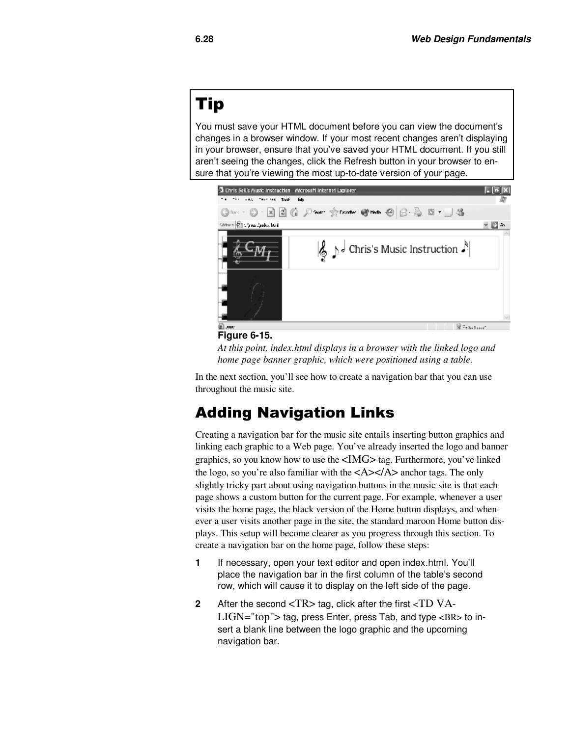# Tip

You must save your HTML document before you can view the document's changes in a browser window. If your most recent changes aren't displaying in your browser, ensure that you've saved your HTML document. If you still aren't seeing the changes, click the Refresh button in your browser to ensure that you're viewing the most up-to-date version of your page.





In the next section, you'll see how to create a navigation bar that you can use throughout the music site.

## **Adding Navigation Links**

Creating a navigation bar for the music site entails inserting button graphics and linking each graphic to a Web page. You've already inserted the logo and banner graphics, so you know how to use the <IMG> tag. Furthermore, you've linked the logo, so you're also familiar with the  $\langle A \rangle \langle A \rangle$  anchor tags. The only slightly tricky part about using navigation buttons in the music site is that each page shows a custom button for the current page. For example, whenever a user visits the home page, the black version of the Home button displays, and whenever a user visits another page in the site, the standard maroon Home button displays. This setup will become clearer as you progress through this section. To create a navigation bar on the home page, follow these steps:

- **1** If necessary, open your text editor and open index.html. You'll place the navigation bar in the first column of the table's second row, which will cause it to display on the left side of the page.
- **2** After the second <TR> tag, click after the first <TD VA-LIGN="top"> tag, press Enter, press Tab, and type <BR> to insert a blank line between the logo graphic and the upcoming navigation bar.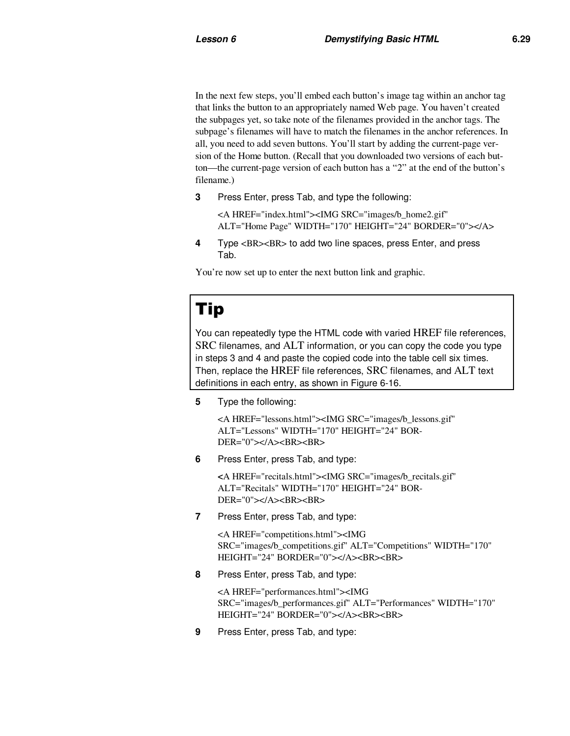In the next few steps, you'll embed each button's image tag within an anchor tag that links the button to an appropriately named Web page. You haven't created the subpages yet, so take note of the filenames provided in the anchor tags. The subpage's filenames will have to match the filenames in the anchor references. In all, you need to add seven buttons. You'll start by adding the current-page version of the Home button. (Recall that you downloaded two versions of each button—the current-page version of each button has a "2" at the end of the button's filename.)

**3** Press Enter, press Tab, and type the following:

<A HREF="index.html"><IMG SRC="images/b\_home2.gif" ALT="Home Page" WIDTH="170" HEIGHT="24" BORDER="0"></A>

**4** Type <BR><BR> to add two line spaces, press Enter, and press Tab.

You're now set up to enter the next button link and graphic.

# Tip

You can repeatedly type the HTML code with varied HREF file references, SRC filenames, and ALT information, or you can copy the code you type in steps 3 and 4 and paste the copied code into the table cell six times. Then, replace the HREF file references, SRC filenames, and ALT text definitions in each entry, as shown in Figure 6-16.

**5** Type the following:

 <A HREF="lessons.html"><IMG SRC="images/b\_lessons.gif" ALT="Lessons" WIDTH="170" HEIGHT="24" BOR-DER="0"></A><BR><BR>

**6** Press Enter, press Tab, and type:

 **<**A HREF="recitals.html"><IMG SRC="images/b\_recitals.gif" ALT="Recitals" WIDTH="170" HEIGHT="24" BOR-DER="0"></A><BR><BR>

**7** Press Enter, press Tab, and type:

 <A HREF="competitions.html"><IMG SRC="images/b\_competitions.gif" ALT="Competitions" WIDTH="170" HEIGHT="24" BORDER="0"></A><BR><BR>

**8** Press Enter, press Tab, and type:

 <A HREF="performances.html"><IMG SRC="images/b\_performances.gif" ALT="Performances" WIDTH="170" HEIGHT="24" BORDER="0"></A><BR><BR>

**9** Press Enter, press Tab, and type: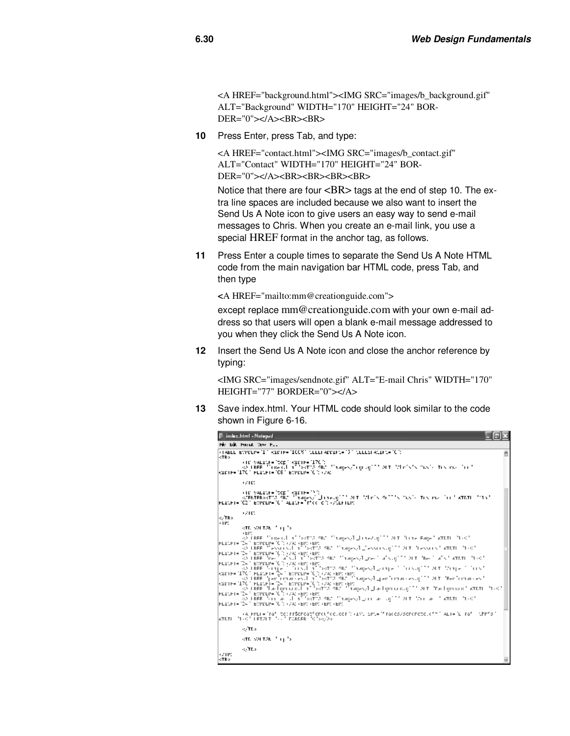<A HREF="background.html"><IMG SRC="images/b\_background.gif" ALT="Background" WIDTH="170" HEIGHT="24" BOR-DER="0"></A><BR><BR>

**10** Press Enter, press Tab, and type:

 <A HREF="contact.html"><IMG SRC="images/b\_contact.gif" ALT="Contact" WIDTH="170" HEIGHT="24" BOR-DER="0"></A><BR><BR><BR><BR>

Notice that there are four  $\langle BR \rangle$  tags at the end of step 10. The extra line spaces are included because we also want to insert the Send Us A Note icon to give users an easy way to send e-mail messages to Chris. When you create an e-mail link, you use a special HREF format in the anchor tag, as follows.

**11** Press Enter a couple times to separate the Send Us A Note HTML code from the main navigation bar HTML code, press Tab, and then type

 **<**A HREF="mailto:mm@creationguide.com">

except replace mm@creationguide.com with your own e-mail address so that users will open a blank e-mail message addressed to you when they click the Send Us A Note icon.

**12** Insert the Send Us A Note icon and close the anchor reference by typing:

 <IMG SRC="images/sendnote.gif" ALT="E-mail Chris" WIDTH="170" HEIGHT="77" BORDER="0"></A>

**13** Save index.html. Your HTML code should look similar to the code shown in Figure 6-16.

| <b>E.</b> index.html - Noteped                                                                                                                                                  |
|---------------------------------------------------------------------------------------------------------------------------------------------------------------------------------|
| His talk Horset West Haus                                                                                                                                                       |
| o paeni evrologi i jazičneg 100% (titularnice 131 titularatice 10 %)<br>$\approx$ TR $\approx$                                                                                  |
| VIE VALISE TOE VALUE (1703)<br>40 LEFF TILLE CLINT SOUTH ART TIMBES, THE GOTT ALT MINIMUM WAS INVOLVED TO THE<br> сдетн= 1761 надант= 1881 вумски= 181:722                      |
| 37 H.C                                                                                                                                                                          |
| VID VALISH (TOD) KINIFA (V)<br>SCRETRESSTOR SEC. TRAIGEST DIRECTS ALT. MEDIA SUTTLY TOSTS TOSTED TO TACTED TO TAKE THE TRAIN<br>hiidh F (CS) evrolm (C) airch∍°rfoo o'r Alemann |
| <b>A 2100</b><br><b>REATRIX</b>                                                                                                                                                 |
| loins :                                                                                                                                                                         |
| RTE VOLTABLE LILES<br><b>FEP:</b>                                                                                                                                               |
| 40 LREE "Indept of "softs sea "invoes) June2.cl"" ALT "Line Face" ATCIL "LRC"                                                                                                   |
| Індары – 124 °, воправні 10 °, класківно квір<br>50 LEEF Theodrical in Thermal sea, Manueley) Tessuris and Minitia measuris Carteria (1992).                                    |
| надант= 124.1 геопрал= 10.1; куже кылокыло                                                                                                                                      |
| ROUTREE THAT REVOLUTIONS THE MINOR CONTINUES IN A SUBJECT OF THE SECOND AT A TUTT IN A CALCULATION OF                                                                           |
|                                                                                                                                                                                 |
| единем 170 ° надрете "24 ° возвршем 0 % слав световек.<br>При своим в 1888 г. је на селото е који ста број 70 године, од ште било се који 10 од 1888 г. је на селото кој        |
| картне (1701 надан) – (241 воправе (03 кужднего кви<br>spill REE. "I as homitically all better SRA". "Inacesy! U as homitically if the final contact "ATM". "In C"              |
| надантн (247) всподне (67) кластего жист                                                                                                                                        |
| RA LEFF ("ALL ALL I T'SKTID SET "TRANSVILLATI ALL ALL'I ALT "TOTI ALL" ATEITI "THAT"                                                                                            |
| Індарні в 1247 годинам 1015 следувих увидувих увид                                                                                                                              |
|                                                                                                                                                                                 |
| <b>RATES</b>                                                                                                                                                                    |
| ATE VOLTABLE 1 (1) 18                                                                                                                                                           |
| <b>STEP</b>                                                                                                                                                                     |
| 67115                                                                                                                                                                           |
| <b>HTR&gt;</b>                                                                                                                                                                  |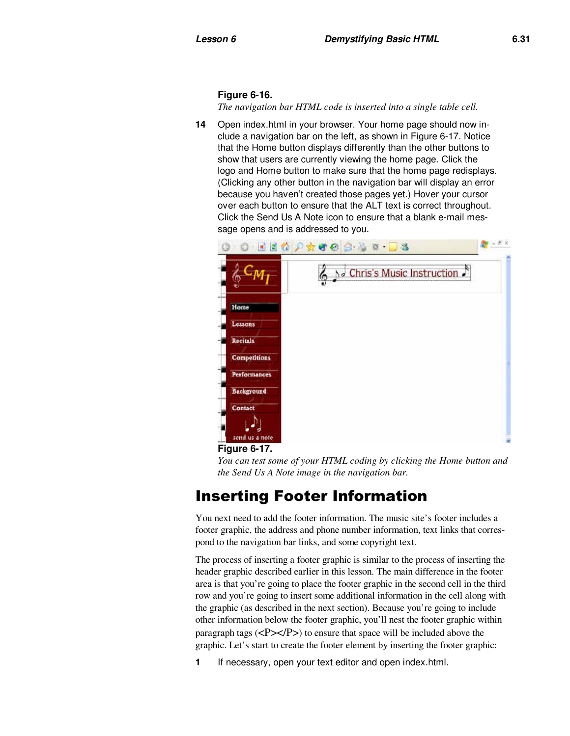### **Figure 6-16.**

*The navigation bar HTML code is inserted into a single table cell.* 

**14** Open index.html in your browser. Your home page should now include a navigation bar on the left, as shown in Figure 6-17. Notice that the Home button displays differently than the other buttons to show that users are currently viewing the home page. Click the logo and Home button to make sure that the home page redisplays. (Clicking any other button in the navigation bar will display an error because you haven't created those pages yet.) Hover your cursor over each button to ensure that the ALT text is correct throughout. Click the Send Us A Note icon to ensure that a blank e-mail message opens and is addressed to you.





*You can test some of your HTML coding by clicking the Home button and the Send Us A Note image in the navigation bar.* 

## **Inserting Footer Information**

You next need to add the footer information. The music site's footer includes a footer graphic, the address and phone number information, text links that correspond to the navigation bar links, and some copyright text.

The process of inserting a footer graphic is similar to the process of inserting the header graphic described earlier in this lesson. The main difference in the footer area is that you're going to place the footer graphic in the second cell in the third row and you're going to insert some additional information in the cell along with the graphic (as described in the next section). Because you're going to include other information below the footer graphic, you'll nest the footer graphic within paragraph tags  $(\langle P \rangle \langle P \rangle)$  to ensure that space will be included above the graphic. Let's start to create the footer element by inserting the footer graphic:

**1** If necessary, open your text editor and open index.html.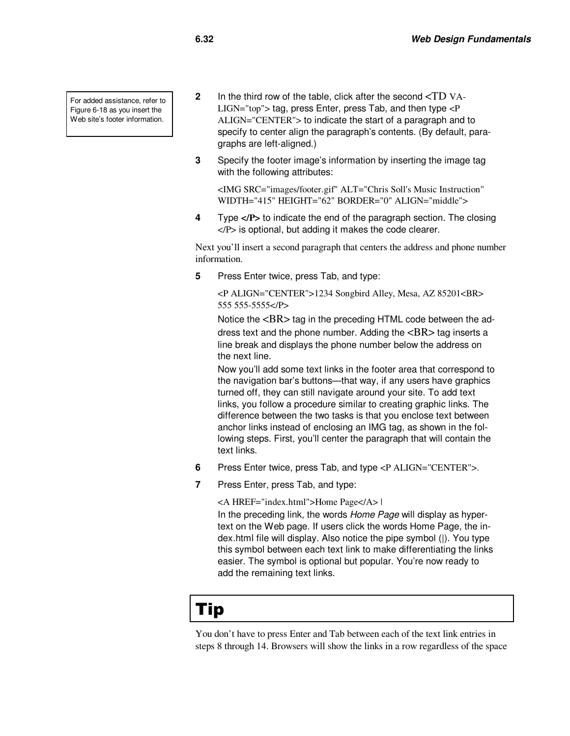For added assistance, refer to Figure 6-18 as you insert the Web site's footer information.

- **2** In the third row of the table, click after the second <TD VA-LIGN="top"> tag, press Enter, press Tab, and then type <P ALIGN="CENTER"> to indicate the start of a paragraph and to specify to center align the paragraph's contents. (By default, paragraphs are left-aligned.)
- **3** Specify the footer image's information by inserting the image tag with the following attributes:

 <IMG SRC="images/footer.gif" ALT="Chris Soll's Music Instruction" WIDTH="415" HEIGHT="62" BORDER="0" ALIGN="middle">

**4** Type **</P>** to indicate the end of the paragraph section. The closing </P> is optional, but adding it makes the code clearer.

Next you'll insert a second paragraph that centers the address and phone number information.

**5** Press Enter twice, press Tab, and type:

<P ALIGN="CENTER">1234 Songbird Alley, Mesa, AZ 85201<BR> 555 555-5555</P>

Notice the  $\langle BR \rangle$  tag in the preceding HTML code between the address text and the phone number. Adding the  $\langle$ BR $>$  tag inserts a line break and displays the phone number below the address on the next line.

Now you'll add some text links in the footer area that correspond to the navigation bar's buttons—that way, if any users have graphics turned off, they can still navigate around your site. To add text links, you follow a procedure similar to creating graphic links. The difference between the two tasks is that you enclose text between anchor links instead of enclosing an IMG tag, as shown in the following steps. First, you'll center the paragraph that will contain the text links.

- **6** Press Enter twice, press Tab, and type <P ALIGN="CENTER">.
- **7** Press Enter, press Tab, and type:

<A HREF="index.html">Home Page</A> |

In the preceding link, the words Home Page will display as hypertext on the Web page. If users click the words Home Page, the index.html file will display. Also notice the pipe symbol (|). You type this symbol between each text link to make differentiating the links easier. The symbol is optional but popular. You're now ready to add the remaining text links.

# Tip

You don't have to press Enter and Tab between each of the text link entries in steps 8 through 14. Browsers will show the links in a row regardless of the space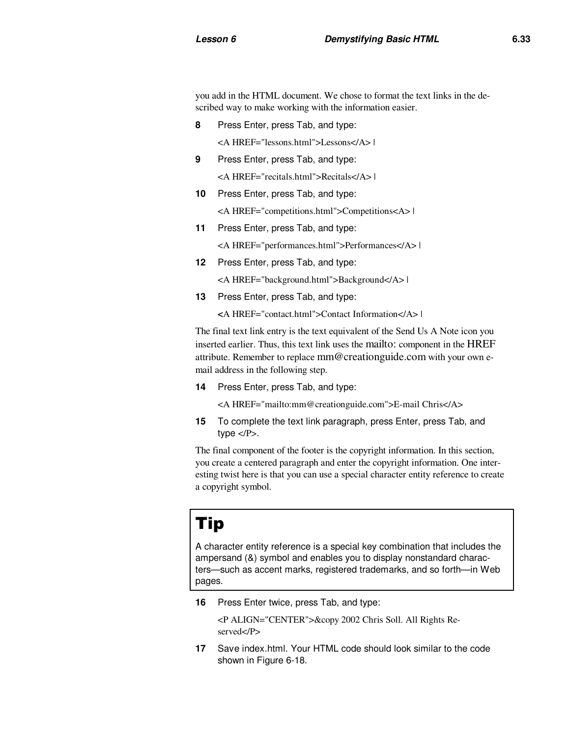you add in the HTML document. We chose to format the text links in the described way to make working with the information easier.

**8** Press Enter, press Tab, and type:

<A HREF="lessons.html">Lessons</A> |

**9** Press Enter, press Tab, and type:

<A HREF="recitals.html">Recitals</A> |

**10** Press Enter, press Tab, and type:

<A HREF="competitions.html">Competitions<A> |

**11** Press Enter, press Tab, and type:

<A HREF="performances.html">Performances</A> |

**12** Press Enter, press Tab, and type:

<A HREF="background.html">Background</A> |

**13** Press Enter, press Tab, and type:

 **<**A HREF="contact.html">Contact Information</A> |

The final text link entry is the text equivalent of the Send Us A Note icon you inserted earlier. Thus, this text link uses the mailto: component in the HREF attribute. Remember to replace mm@creationguide.com with your own email address in the following step.

- **14** Press Enter, press Tab, and type:
	- <A HREF="mailto:mm@creationguide.com">E-mail Chris</A>
- **15** To complete the text link paragraph, press Enter, press Tab, and type  $<$ /P $>$ .

The final component of the footer is the copyright information. In this section, you create a centered paragraph and enter the copyright information. One interesting twist here is that you can use a special character entity reference to create a copyright symbol.

# Tip

A character entity reference is a special key combination that includes the ampersand (&) symbol and enables you to display nonstandard characters—such as accent marks, registered trademarks, and so forth—in Web pages.

**16** Press Enter twice, press Tab, and type:

 <P ALIGN="CENTER">&copy 2002 Chris Soll. All Rights Reserved</P>

**17** Save index.html. Your HTML code should look similar to the code shown in Figure 6-18.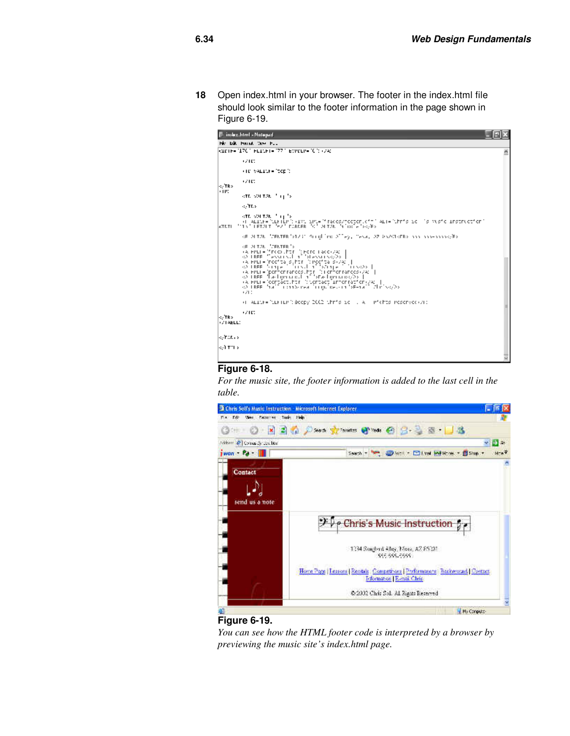**18** Open index.html in your browser. The footer in the index.html file should look similar to the footer information in the page shown in Figure 6-19.



### **Figure 6-18.**

*For the music site, the footer information is added to the last cell in the table.* 



### **Figure 6-19.**

*You can see how the HTML footer code is interpreted by a browser by previewing the music site's index.html page.*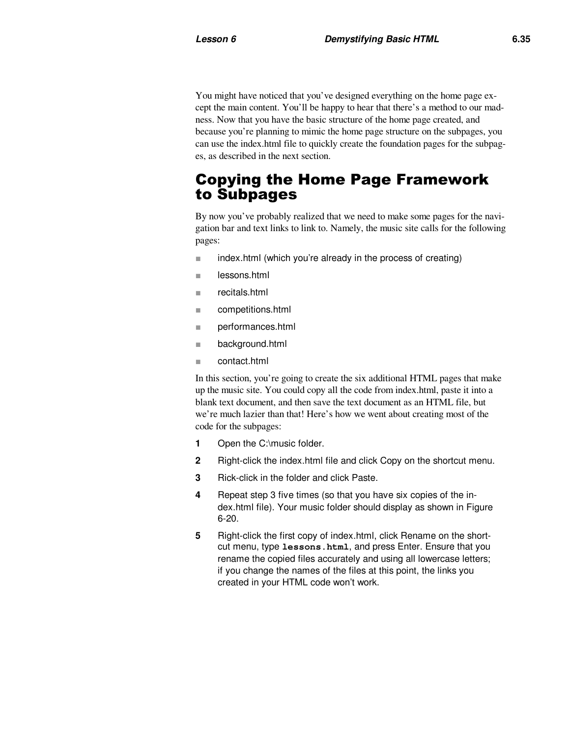You might have noticed that you've designed everything on the home page except the main content. You'll be happy to hear that there's a method to our madness. Now that you have the basic structure of the home page created, and because you're planning to mimic the home page structure on the subpages, you can use the index.html file to quickly create the foundation pages for the subpages, as described in the next section.

## **Copying the Home Page Framework** to Subpages

By now you've probably realized that we need to make some pages for the navigation bar and text links to link to. Namely, the music site calls for the following pages:

- index.html (which you're already in the process of creating)
- lessons.html
- recitals.html
- competitions.html
- performances.html
- background.html
- contact.html

In this section, you're going to create the six additional HTML pages that make up the music site. You could copy all the code from index.html, paste it into a blank text document, and then save the text document as an HTML file, but we're much lazier than that! Here's how we went about creating most of the code for the subpages:

- **1** Open the C:\music folder.
- **2** Right-click the index.html file and click Copy on the shortcut menu.
- **3** Rick-click in the folder and click Paste.
- **4** Repeat step 3 five times (so that you have six copies of the index.html file). Your music folder should display as shown in Figure 6-20.
- **5** Right-click the first copy of index.html, click Rename on the shortcut menu, type **lessons.html**, and press Enter. Ensure that you rename the copied files accurately and using all lowercase letters; if you change the names of the files at this point, the links you created in your HTML code won't work.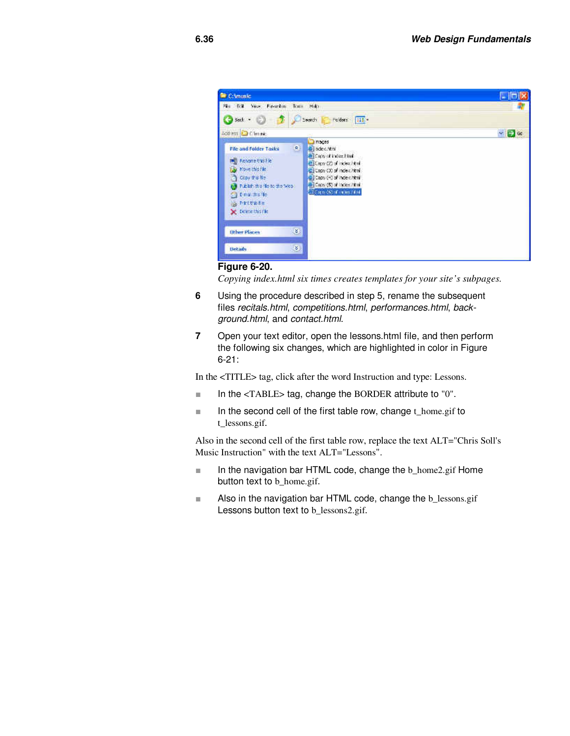

### **Figure 6-20.**

*Copying index.html six times creates templates for your site's subpages.* 

- **6** Using the procedure described in step 5, rename the subsequent files recitals.html, competitions.html, performances.html, background.html, and contact.html.
- **7** Open your text editor, open the lessons.html file, and then perform the following six changes, which are highlighted in color in Figure 6-21:

In the <TITLE> tag, click after the word Instruction and type: Lessons.

- $\blacksquare$  In the  $\langle \text{TABLE} \rangle$  tag, change the BORDER attribute to "0".
- In the second cell of the first table row, change t\_home.gif to t\_lessons.gif.

Also in the second cell of the first table row, replace the text ALT="Chris Soll's Music Instruction" with the text ALT="Lessons".

- In the navigation bar HTML code, change the b\_home2.gif Home button text to b\_home.gif.
- Also in the navigation bar HTML code, change the b\_lessons.gif Lessons button text to b\_lessons2.gif.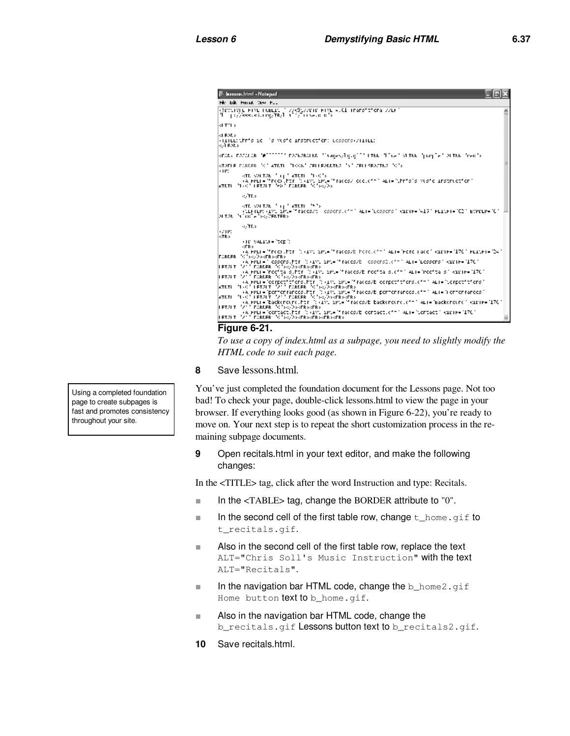| <b>E. Insurachtml - Nationed</b>                                                                                                                                                                                                                                                       |  |
|----------------------------------------------------------------------------------------------------------------------------------------------------------------------------------------------------------------------------------------------------------------------------------------|--|
| This talk format they true                                                                                                                                                                                                                                                             |  |
| $\sim$ (symptom in Fig. ). The set of the system of $\sim$ $\sim$ Claim and the form of $\sim$<br>$\ T\ $ proposed a right $R/1$ of type is a refer                                                                                                                                    |  |
| ka tru s                                                                                                                                                                                                                                                                               |  |
| <b>RIFADE</b><br>$\overline{0}$ (in the second second $\overline{0}$ such that $\overline{0}$ is a second second second second second second second second second second second second second second second second second second second second second second sec<br>$\sim$ ) FM $\sim$ |  |
| smate magalak "@EEEEEE" magkakalkt "magesyloto"E" LTBk "LEee" vLTBk "plog"e" altBk "geolo"                                                                                                                                                                                             |  |
| RIVELE FARLER "O" ATEIL "LOCA" CELLENDAIRE "A" CELLERDAIRE "O"»<br>la per                                                                                                                                                                                                              |  |
| STE VOLTAN "TIP" ATETI "LOC"S"<br>sa FPLI-"reductor"; un seu ante "racesa ecole""; alle "thrisis vusio instruction"<br>WILTER PLACE LETCH TO SAFE DARLER POISSONS.                                                                                                                     |  |
| <b>RATES</b>                                                                                                                                                                                                                                                                           |  |
| STE VALUAR LINE LATER UP IN<br>ACLETING AIVI SPIE MINACCOZO - COOCROUCATA ALTE "LOSSORS" KIDTHE "ALJ" FLICHTE "CO" EVPDIPE"C.<br>$\beta$ i T.Sh. $\beta$ n $\beta$ on $\beta$ = $\beta$ sh. $\beta$ FinTFR s $\beta$                                                                   |  |
| <b>STEP</b>                                                                                                                                                                                                                                                                            |  |
| lozum.<br>$\approx$ TR $>$                                                                                                                                                                                                                                                             |  |
| HID VALISK≡ (DOD ):<br>⊲FR ≻                                                                                                                                                                                                                                                           |  |
| ka FPLI – "from Jtor" (1917), 2PL- "fraces/bi horo.c" til alle "Ford Taco" kunify 1761 FLIGHT- (24)<br>FORDER "C" > CO >> CER> CER>                                                                                                                                                    |  |
| $\sim$ A FPLI $\sim$ (sserstring $\sim$ 171 $\sim$ 171 $\sim$ 171 $\sim$ 171 $\sim$ 171 $\sim$ 100 $\sim$ 171 $\sim$ 171 $\sim$ 171 $\sim$ 171 $\sim$<br>HETSLT "21" FORDER "C">QO>CER>CER>                                                                                            |  |
| ka FPLI - "nocita suhtri": kivu ziru- "fragosub nocita sugit" " Ali- "rocita s" kirin- "170"<br>LETALT "21" FORDER "C"SOOSOFRSOFRS.                                                                                                                                                    |  |
| is with the "corporations", here it says, since if races/bilderporations, can't sail = "corporations",<br>WILTE "I OU" LETGET "2" " FARLER "O" SO DISOFRISORISM                                                                                                                        |  |
| (All FPL) = "ponnon randos", http://t/suvulisinus "firacios/biliponnon randos", c*n", "ALT=") onnon randos",<br>WILTER PERCHALIFICATE PART FORDER POPSO DOGER SOFRA                                                                                                                    |  |
| is the HPLI = "background. html ": (1991) 2PC="" radds/bibackground. c*n" (ALT="background" (2191)="170"<br>LETALT "21" FORDER "C"SO/OSOFRSOFRS                                                                                                                                        |  |
| ik, FPL) = "contact.html"; (192) 2PL="" races/blicentact.c"=", AL) = "contact", VIP (F="170")<br>LETGLT "2" " FORDER "3" sky bestReadtReadtReadtRe                                                                                                                                     |  |

### **Figure 6-21.**

*To use a copy of index.html as a subpage, you need to slightly modify the HTML code to suit each page.* 

**8** Save lessons.html.

You've just completed the foundation document for the Lessons page. Not too bad! To check your page, double-click lessons.html to view the page in your browser. If everything looks good (as shown in Figure 6-22), you're ready to move on. Your next step is to repeat the short customization process in the remaining subpage documents.

**9** Open recitals.html in your text editor, and make the following changes:

In the <TITLE> tag, click after the word Instruction and type: Recitals.

- In the <TABLE> tag, change the BORDER attribute to "0".
- In the second cell of the first table row, change t\_home.gif to t\_recitals.gif.
- Also in the second cell of the first table row, replace the text ALT="Chris Soll's Music Instruction" with the text ALT="Recitals".
- $\blacksquare$  In the navigation bar HTML code, change the  $b_{\text{home2}}$ .gif Home button text to b\_home.gif.
- Also in the navigation bar HTML code, change the b\_recitals.gif Lessons button text to b\_recitals2.gif.
- **10** Save recitals.html.

Using a completed foundation page to create subpages is fast and promotes consistency throughout your site.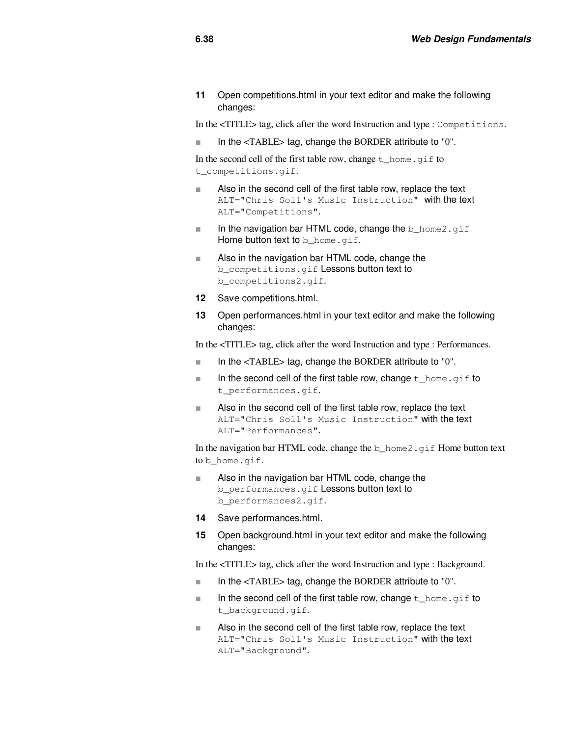**11** Open competitions.html in your text editor and make the following changes:

In the <TITLE> tag, click after the word Instruction and type : Competitions.

In the  $\langle \text{TABLE} \rangle$  tag, change the BORDER attribute to "0".

In the second cell of the first table row, change  $t$  home.gif to t\_competitions.gif.

- Also in the second cell of the first table row, replace the text ALT="Chris Soll's Music Instruction" with the text ALT="Competitions".
- $\blacksquare$  In the navigation bar HTML code, change the b\_home2.gif Home button text to b\_home.gif.
- Also in the navigation bar HTML code, change the b\_competitions.gif Lessons button text to b\_competitions2.gif.
- **12** Save competitions.html.
- **13** Open performances.html in your text editor and make the following changes:

In the <TITLE> tag, click after the word Instruction and type : Performances.

- In the <TABLE> tag, change the BORDER attribute to "0".
- $\blacksquare$  In the second cell of the first table row, change  $t_\text{home.}$  qif to t\_performances.gif.
- Also in the second cell of the first table row, replace the text ALT="Chris Soll's Music Instruction" with the text ALT="Performances".

In the navigation bar HTML code, change the  $b$  home  $2$ . gif Home button text to b\_home.gif.

- Also in the navigation bar HTML code, change the b\_performances.gif Lessons button text to b\_performances2.gif.
- **14** Save performances.html.
- **15** Open background.html in your text editor and make the following changes:

In the <TITLE> tag, click after the word Instruction and type : Background.

- In the <TABLE> tag, change the BORDER attribute to "0".
- $\blacksquare$  In the second cell of the first table row, change  $t_\text{home.git}$  to t\_background.gif.
- Also in the second cell of the first table row, replace the text ALT="Chris Soll's Music Instruction" with the text ALT="Background".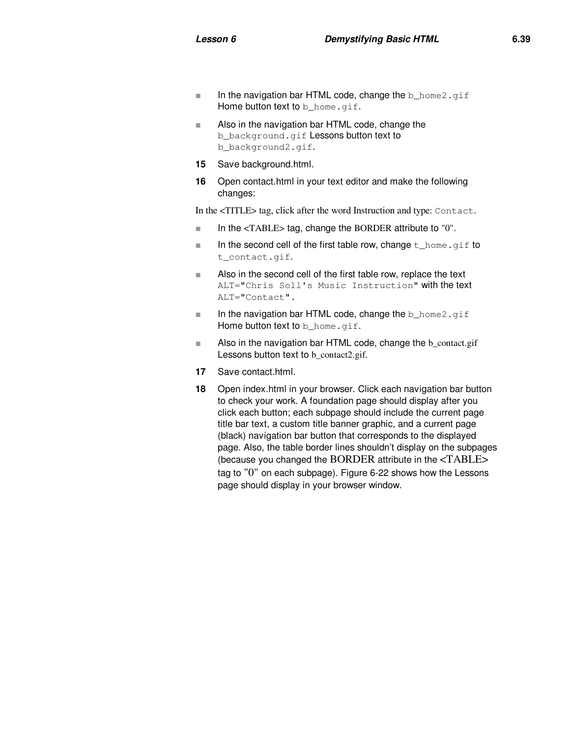- $\blacksquare$  In the navigation bar HTML code, change the b home2.gif Home button text to b\_home.gif.
- Also in the navigation bar HTML code, change the b\_background.gif Lessons button text to b\_background2.gif.
- **15** Save background.html.
- **16** Open contact.html in your text editor and make the following changes:

In the <TITLE> tag, click after the word Instruction and type: Contact.

- $\blacksquare$  In the  $\langle \text{TABLE} \rangle$  tag, change the BORDER attribute to "0".
- In the second cell of the first table row, change t\_home.gif to t\_contact.gif.
- Also in the second cell of the first table row, replace the text ALT="Chris Soll's Music Instruction" with the text ALT="Contact".
- $\blacksquare$  In the navigation bar HTML code, change the b home2.gif Home button text to **b\_home**.gif.
- Also in the navigation bar HTML code, change the b contact.gif Lessons button text to b\_contact2.gif.
- **17** Save contact.html.
- **18** Open index.html in your browser. Click each navigation bar button to check your work. A foundation page should display after you click each button; each subpage should include the current page title bar text, a custom title banner graphic, and a current page (black) navigation bar button that corresponds to the displayed page. Also, the table border lines shouldn't display on the subpages (because you changed the BORDER attribute in the <TABLE> tag to "0" on each subpage). Figure 6-22 shows how the Lessons page should display in your browser window.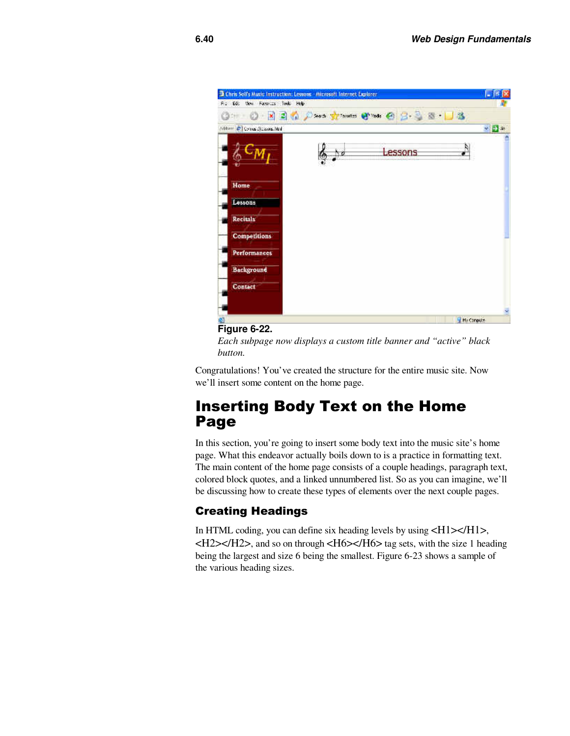

### **Figure 6-22.**

*Each subpage now displays a custom title banner and "active" black button.* 

Congratulations! You've created the structure for the entire music site. Now we'll insert some content on the home page.

## **Inserting Body Text on the Home** Page

In this section, you're going to insert some body text into the music site's home page. What this endeavor actually boils down to is a practice in formatting text. The main content of the home page consists of a couple headings, paragraph text, colored block quotes, and a linked unnumbered list. So as you can imagine, we'll be discussing how to create these types of elements over the next couple pages.

### **Creating Headings**

In HTML coding, you can define six heading levels by using  $\langle H1 \rangle \langle H1 \rangle$ ,  $\langle H2 \rangle \langle H2 \rangle$ , and so on through  $\langle H6 \rangle \langle H6 \rangle$  tag sets, with the size 1 heading being the largest and size 6 being the smallest. Figure 6-23 shows a sample of the various heading sizes.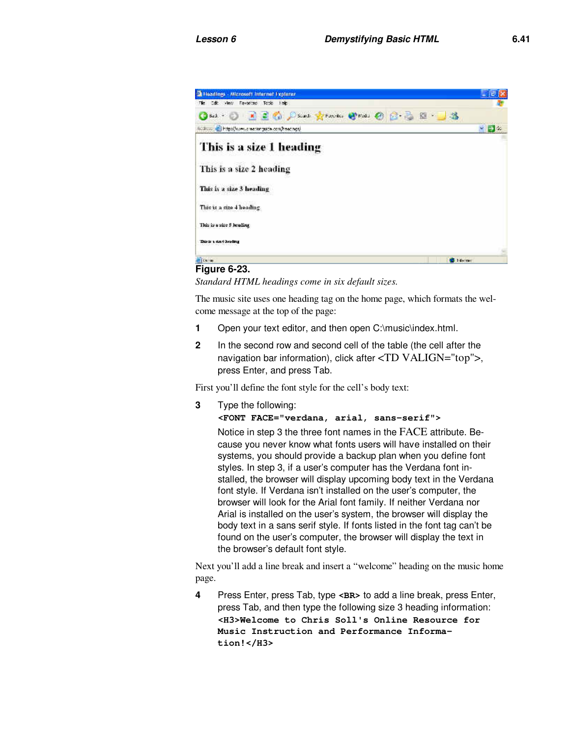

### **Figure 6-23.**

*Standard HTML headings come in six default sizes.* 

The music site uses one heading tag on the home page, which formats the welcome message at the top of the page:

- **1** Open your text editor, and then open C:\music\index.html.
- **2** In the second row and second cell of the table (the cell after the navigation bar information), click after <TD VALIGN="top">, press Enter, and press Tab.

First you'll define the font style for the cell's body text:

**3** Type the following:

### **<FONT FACE="verdana, arial, sans-serif">**

Notice in step 3 the three font names in the FACE attribute. Because you never know what fonts users will have installed on their systems, you should provide a backup plan when you define font styles. In step 3, if a user's computer has the Verdana font installed, the browser will display upcoming body text in the Verdana font style. If Verdana isn't installed on the user's computer, the browser will look for the Arial font family. If neither Verdana nor Arial is installed on the user's system, the browser will display the body text in a sans serif style. If fonts listed in the font tag can't be found on the user's computer, the browser will display the text in the browser's default font style.

Next you'll add a line break and insert a "welcome" heading on the music home page.

**4** Press Enter, press Tab, type **<BR>** to add a line break, press Enter, press Tab, and then type the following size 3 heading information: **<H3>Welcome to Chris Soll's Online Resource for Music Instruction and Performance Information!</H3>**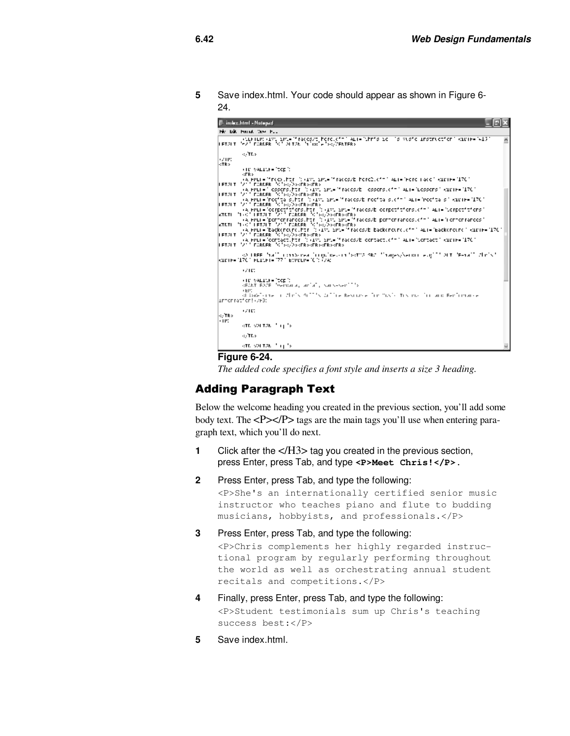**5** Save index.html. Your code should appear as shown in Figure 6- 24.

|                            | <b>E.</b> index.html - Noteped                                                                                                                                |  |
|----------------------------|---------------------------------------------------------------------------------------------------------------------------------------------------------------|--|
|                            | He talk bank two has                                                                                                                                          |  |
|                            | stikiin kuvu sutu "maadada hordud" "Air-"thria so" ja vuoje iraanudajen "Ripre-"Al)"<br>LETALT "FA" FORDER "O" ALTAU "T'OO", "SOCTEUTERS"                     |  |
| 67 H.Y<br>$\approx$ TR $>$ | <b>REATIVE</b><br>HID VALISH (TOD )<br>of Rix<br>(A FPL) = "free), http://p.uvg. siggs "fraees/bi-hore2.cfm" ALI = "Ford Tage" Riggin= "170".                 |  |
|                            | HETSLT "A" " FORDER "S" skofskomrekter                                                                                                                        |  |
|                            | (A FPL)=" casers.html"; (19)_2PL=""races/b="casers.c*=" AL)="Lessers" kithF="170"<br>LETALT "21" FORDER "C"SO/OSOFRSOFRS.                                     |  |
|                            | ka FPLI = "nocital suhtin" (: x1V), 2PC="" raccs/bincoftal sucht" (ALI = "Pocital s") «1PTF="170"<br>LETALT "21" FARLER "C">c/O>dFR>dFR>.                     |  |
|                            | inal FPL) = "corpot" trions. html ": view" "simula" radiosatic corpot" trions. cfm" "all )= "udroct" trions "                                                 |  |
|                            | kTLIL 'LeC' LEIGLI '21' FARLER' 'C'>o/>>dER>dER>'<br>in Alleria (performances), html (1) averages if mages to performances , cf fill ALT= (1) criter mances ( |  |
|                            | kTLTL '1-0' LETJLT '2'' FARLER '0'>0'>oFR>oFR>.<br>ow HPLI="background.html"; olyt SPL="fragosyb-background.cf="lail="background" girl+="170"                 |  |
|                            | LETALT "A" " FARGER "S" SO'S STRESSERS.                                                                                                                       |  |
|                            | (A. FPL) = "contact. html"; (177) 2P1="firaces/bildentact. cfm" AL) = "contact" (AL) (F="170"<br>LETALT "21" FARGER "C">c/>>dFR>dFR>dFR>dFR>dFR>              |  |
|                            | 30 IREE "hall" Londonnea friedlice. In "soft"2 SRC "inaces/Serior e.c." " ALT "Fenal" Christ<br> адрин= 1761 надрын≡ 1771 вурсаг∈ 161: 7им.                   |  |
|                            | 37 H UT                                                                                                                                                       |  |
|                            | <b>FIRE VALUE = "DOD":</b><br>REALT FATE (Semparial and all, Sans-Senior's                                                                                    |  |
|                            | <b>FEPT</b><br>of Dodels the U.S. Marks St. Life A.S. Market and A.S. Care most in the U.S. Care and Replacements of<br>linten ratificnik ve3:                |  |
| k: TR>                     | 77 H UG                                                                                                                                                       |  |
| <b>+1PL</b>                | STE SOUTH, " 11 ">                                                                                                                                            |  |
|                            | sta TL S                                                                                                                                                      |  |
|                            | STE VOLTABLE LIP'S                                                                                                                                            |  |
|                            |                                                                                                                                                               |  |

### **Figure 6-24.**

*The added code specifies a font style and inserts a size 3 heading.* 

### **Adding Paragraph Text**

Below the welcome heading you created in the previous section, you'll add some body text. The <P></P> tags are the main tags you'll use when entering paragraph text, which you'll do next.

- **1** Click after the  $\langle H3 \rangle$  tag you created in the previous section, press Enter, press Tab, and type **<P>Meet Chris!</P>.**
- **2** Press Enter, press Tab, and type the following:

<P>She's an internationally certified senior music instructor who teaches piano and flute to budding musicians, hobbyists, and professionals.</P>

**3** Press Enter, press Tab, and type the following:

<P>Chris complements her highly regarded instructional program by regularly performing throughout the world as well as orchestrating annual student recitals and competitions.</P>

- **4** Finally, press Enter, press Tab, and type the following: <P>Student testimonials sum up Chris's teaching success best:</P>
- **5** Save index.html.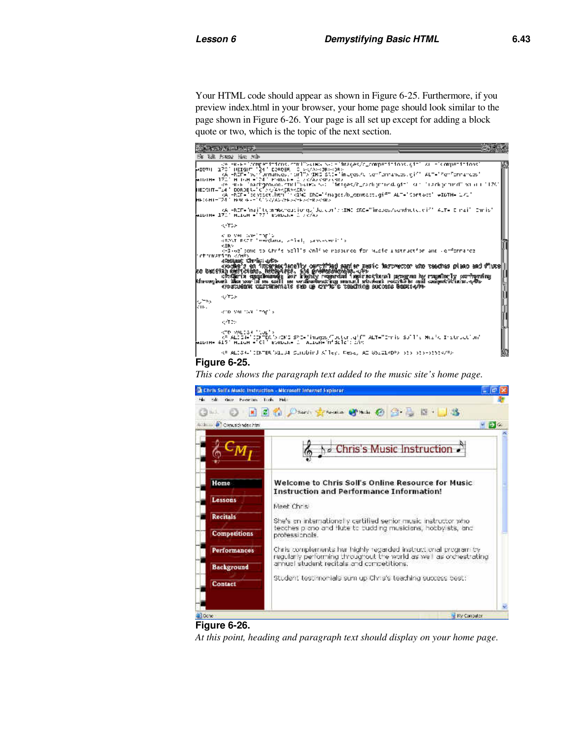Your HTML code should appear as shown in Figure 6-25. Furthermore, if you preview index.html in your browser, your home page should look similar to the page shown in Figure 6-26. Your page is all set up except for adding a block quote or two, which is the topic of the next section.

|       | la berahan menanggan d                                       |                                                                                                         |                                                                                                                                                                                                                                                                                                                                   |  |
|-------|--------------------------------------------------------------|---------------------------------------------------------------------------------------------------------|-----------------------------------------------------------------------------------------------------------------------------------------------------------------------------------------------------------------------------------------------------------------------------------------------------------------------------------|--|
|       | FOR THE FIGURE HOW HOW                                       |                                                                                                         |                                                                                                                                                                                                                                                                                                                                   |  |
|       |                                                              | №IОТН 1701 НЕIGHT 1241 ГОВОЕВ, С 200400-3В0-3В0-<br>WIDTH= 1701 H TGH =1241 FORDIN = 0 7 C/A2 CSP2 CSD2 | so resear former totals som lifes use N-C-fittages/currimentoins. Ctoff will disamportations?<br>kå FREFF "der förmandes", ranT" sintNS ist till interestre reenformandes, diriti ALT-" Fenformandes".<br>kto inkvisi Toaldingenundurme liitskuide iskalli "detagesyib_dadisartundugde" iskun "uladisartundi" wuruun 1700         |  |
|       | <b>INEDRITT-"44" DORDER-"C<sup>h</sup>ero"Aprickprick</b> o- |                                                                                                         |                                                                                                                                                                                                                                                                                                                                   |  |
|       |                                                              | HE CONTECTADO IN REGELECTO VIOLAGICHE SCHE SCHRISCHRIST                                                 | (A FRIEF "contact.html") (190 ERCH") hages/b_contact.gi <sup>20</sup> ALT+"Contact" wIGTH+ 171"                                                                                                                                                                                                                                   |  |
|       |                                                              | WIDTH= 17. HILLOH = 77 EDRDING $\sim$ 772                                                               | kA HROFH "nají" tymněk neudlich gyj Jesuphi / (1961–2004)" indues/sendnutes (1911–417–18) nají i "Dmis"                                                                                                                                                                                                                           |  |
|       | ለጣንን                                                         |                                                                                                         |                                                                                                                                                                                                                                                                                                                                   |  |
|       | KID VALUATE TOP D                                            | REPAT FOR "Herdana, SATEL Sans-Seri" is                                                                 |                                                                                                                                                                                                                                                                                                                                   |  |
|       | KERV.<br>ictormation ⊰/HR>                                   |                                                                                                         | k-Bowelerne to Chris sollis Chline resource for Music Instruction and Verformance                                                                                                                                                                                                                                                 |  |
|       | a Dadahasan Chimika Ladiba-                                  |                                                                                                         | emothe's an imparing innelly corridingly and or movie increasions who used as plane and fluxe                                                                                                                                                                                                                                     |  |
|       |                                                              | Krowanieny varydinentals som up chris"s vandhing success besyskriv-                                     | en bucevan niesteland. Helbaniere, alle promozonomina (ver etato) preugen by regularity terrigoning.<br>I. Secoloria egophenenge bor kinjing regendad impiracijato) preugena by regularity terrigoning.<br>ได้ทางหญิงจะไปได้สายอย่ามี คล gall และจะเป็นอุปันหน้าที่บุญ คนทางยิ อุปันเพื่อนไป หน่อให้เป็น อนไป จนที่พอสำคัญของจริง |  |
| وفتها | KV TOX                                                       |                                                                                                         |                                                                                                                                                                                                                                                                                                                                   |  |
| kіњ.  | scrib Matricka Chambia                                       |                                                                                                         |                                                                                                                                                                                                                                                                                                                                   |  |
|       | 文件部                                                          |                                                                                                         |                                                                                                                                                                                                                                                                                                                                   |  |
|       | KED VALCAR "COL" >                                           | WIDTH= 415" HILGH ="CR" EDROLL= 1   AILGH="n"dele": 1/19                                                | 35 ALICH "CONTRA "SACKG SPO" "Indiges, "Deter Le" ("" ALT="Omnis Su" )": Mexic Instruction"                                                                                                                                                                                                                                       |  |
|       |                                                              | KR ALISA-"IENTER">1134 SINGbird Alley, Mesa, AZ GSIGLKDP> 555 555-55554/RX                              |                                                                                                                                                                                                                                                                                                                                   |  |
|       | Figure 6-25.                                                 |                                                                                                         |                                                                                                                                                                                                                                                                                                                                   |  |

*This code shows the paragraph text added to the music site's home page.* 



*At this point, heading and paragraph text should display on your home page.*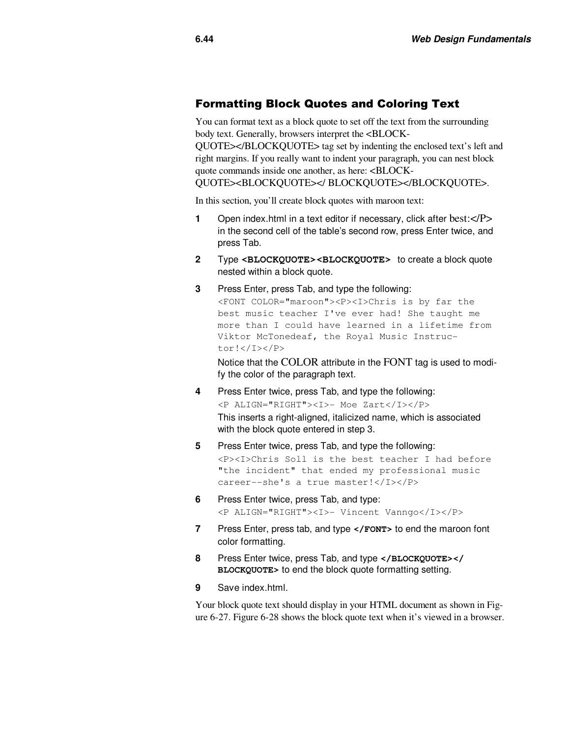### Formatting Block Quotes and Coloring Text

You can format text as a block quote to set off the text from the surrounding body text. Generally, browsers interpret the <BLOCK-

QUOTE></BLOCKQUOTE> tag set by indenting the enclosed text's left and right margins. If you really want to indent your paragraph, you can nest block quote commands inside one another, as here: <BLOCK-

QUOTE><BLOCKQUOTE></ BLOCKQUOTE></BLOCKQUOTE>.

In this section, you'll create block quotes with maroon text:

- **1** Open index.html in a text editor if necessary, click after best:</P> in the second cell of the table's second row, press Enter twice, and press Tab.
- **2** Type **<BLOCKQUOTE><BLOCKQUOTE>** to create a block quote nested within a block quote.
- **3** Press Enter, press Tab, and type the following: <FONT COLOR="maroon"><P><I>Chris is by far the best music teacher I've ever had! She taught me more than I could have learned in a lifetime from Viktor McTonedeaf, the Royal Music Instructor!</I></P>

Notice that the COLOR attribute in the FONT tag is used to modify the color of the paragraph text.

- **4** Press Enter twice, press Tab, and type the following: <P ALIGN="RIGHT"><I>- Moe Zart</I></P> This inserts a right-aligned, italicized name, which is associated with the block quote entered in step 3.
- **5** Press Enter twice, press Tab, and type the following: <P><I>Chris Soll is the best teacher I had before "the incident" that ended my professional music career--she's a true master!</I></P>
- **6** Press Enter twice, press Tab, and type: <P ALIGN="RIGHT"><I>- Vincent Vanngo</I></P>
- **7** Press Enter, press tab, and type **</FONT>** to end the maroon font color formatting.
- **8** Press Enter twice, press Tab, and type **</BLOCKQUOTE></ BLOCKQUOTE>** to end the block quote formatting setting.
- **9** Save index.html.

Your block quote text should display in your HTML document as shown in Figure 6-27. Figure 6-28 shows the block quote text when it's viewed in a browser.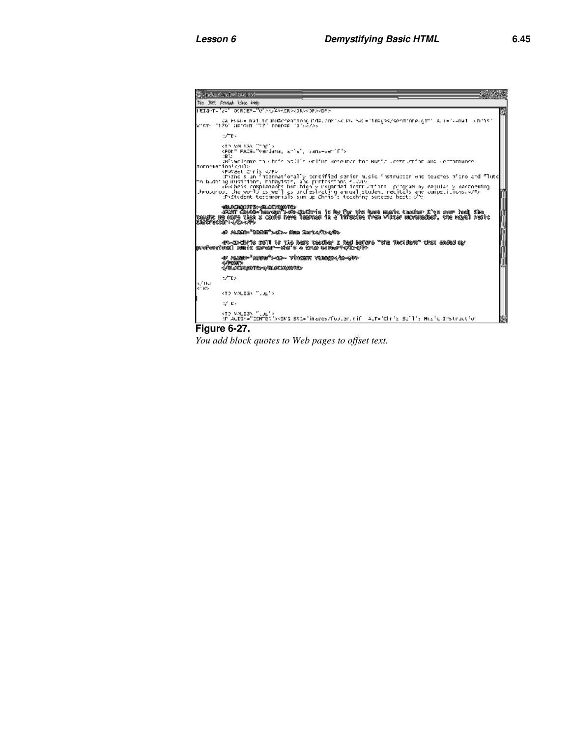```
Principal de la conde
                                                                                                                      <u> Andrew Maria (1999)</u>
No 34t Assed Elec ideo
FEIGHT-"24" OIRDER-"0" MO'ARKERMORMOPMOPM
illa.<br>— — — — dalles mati tributatorestitong itdel contivativis habelitinsges/secritore.gitti is. (= 1-suati is.brits<br>Where II:1701 ((encurrillitz) researchilidiad/a)
             \mathcal{L}^{\text{L}}(\mathbb{R}^n)ero velias "map")<br>
sport RACE-"verdana, an's", samb-sen'f"><br>
sport RACE-"verdana, an's", samb-sen'f"><br>
sport reference in a trial sport of the sensitive for Burial Legendan and Lecommental<br>
sports of the sport of the sport
MARCHATORYALCOMORRY<br>TORRIT CORONA-MARCHITY-MARCHITY: IF Ny fyr the hant marie tanthar C'ye sear inni Sina<br>Bandresser (Bang Tast Could have learned in a lithering them wither monomated, the hope here is<br>Bandresser (Bandry
             40 MARIN-"BRAWT'S-COM- ROOK ZMELL/TO-L/PA-
government "stal to the base candrer i had before "sha 'heidans" chat anded op<br>profonsional music career—she's a kruz wester (Alreft)
             4: MINI-"ARTH"1-03-- FÍNSAN FRANÇO-ÁG-4177-<br>4/MAI<br>4/MINI-MARTH-4/MINIMUM
             ಿರು
੍ਰਾਂ ਸਕਾ<br>ਗੁਣਸ
             (15) anti2\leq \sqrt{10} ).
              QC BY
             KTO MALISN "LUL")<br>http://www.comparakasins.com/insurak/footbrity.if | ALT="Clin"s_S2" l'e-Music_Instruction
```
### **Figure 6-27.**

*You add block quotes to Web pages to offset text.*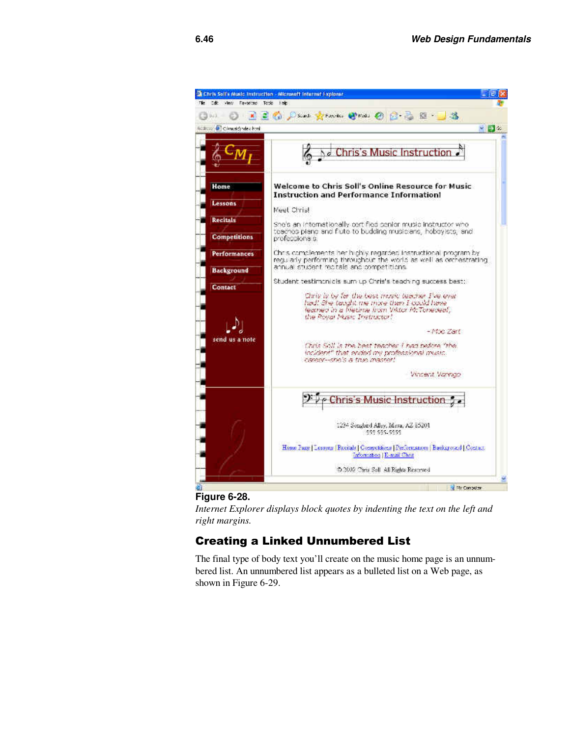

### **Figure 6-28.**

*Internet Explorer displays block quotes by indenting the text on the left and right margins.* 

### **Creating a Linked Unnumbered List**

The final type of body text you'll create on the music home page is an unnumbered list. An unnumbered list appears as a bulleted list on a Web page, as shown in Figure 6-29.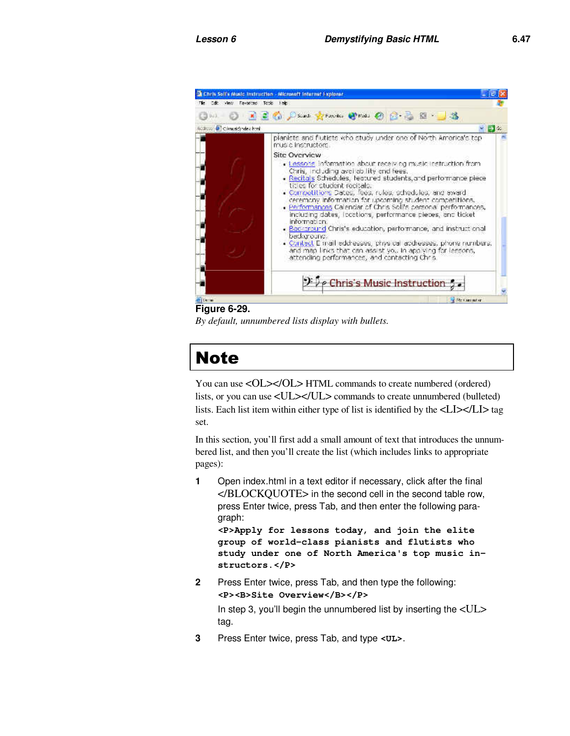

*By default, unnumbered lists display with bullets.* 

# **Note**

You can use <OL></OL> HTML commands to create numbered (ordered) lists, or you can use <UL></UL> commands to create unnumbered (bulleted) lists. Each list item within either type of list is identified by the  $\langle L I \rangle \langle L I \rangle$  tag set.

In this section, you'll first add a small amount of text that introduces the unnumbered list, and then you'll create the list (which includes links to appropriate pages):

- **1** Open index.html in a text editor if necessary, click after the final </BLOCKQUOTE> in the second cell in the second table row, press Enter twice, press Tab, and then enter the following paragraph: **<P>Apply for lessons today, and join the elite group of world-class pianists and flutists who study under one of North America's top music instructors.</P>**
- **2** Press Enter twice, press Tab, and then type the following: **<P><B>Site Overview</B></P>**  In step 3, you'll begin the unnumbered list by inserting the  $\langle \text{UL} \rangle$ tag.
- **3** Press Enter twice, press Tab, and type **<UL>**.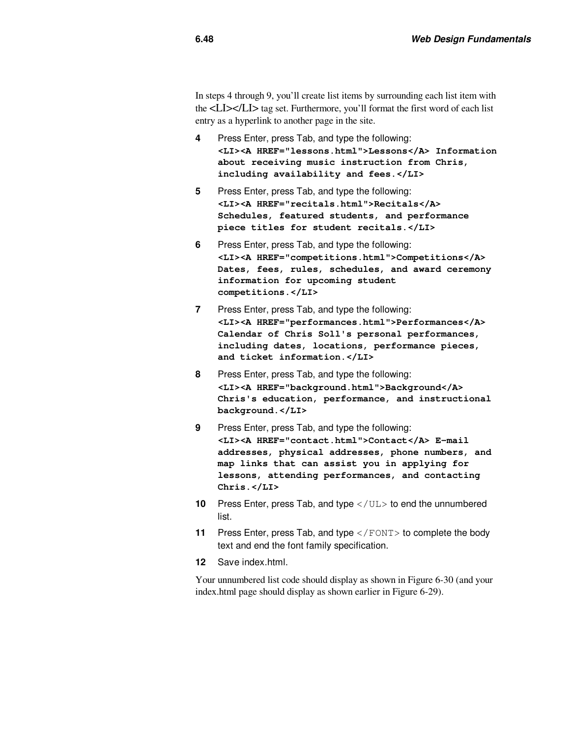In steps 4 through 9, you'll create list items by surrounding each list item with the <LI></LI> tag set. Furthermore, you'll format the first word of each list entry as a hyperlink to another page in the site.

- **4** Press Enter, press Tab, and type the following: **<LI><A HREF="lessons.html">Lessons</A> Information about receiving music instruction from Chris, including availability and fees.</LI>**
- **5** Press Enter, press Tab, and type the following: **<LI><A HREF="recitals.html">Recitals</A> Schedules, featured students, and performance piece titles for student recitals.</LI>**
- **6** Press Enter, press Tab, and type the following: **<LI><A HREF="competitions.html">Competitions</A> Dates, fees, rules, schedules, and award ceremony information for upcoming student competitions.</LI>**
- **7** Press Enter, press Tab, and type the following: **<LI><A HREF="performances.html">Performances</A> Calendar of Chris Soll's personal performances, including dates, locations, performance pieces, and ticket information.</LI>**
- **8** Press Enter, press Tab, and type the following: **<LI><A HREF="background.html">Background</A> Chris's education, performance, and instructional background.</LI>**
- **9** Press Enter, press Tab, and type the following: **<LI><A HREF="contact.html">Contact</A> E-mail addresses, physical addresses, phone numbers, and map links that can assist you in applying for lessons, attending performances, and contacting Chris.</LI>**
- **10** Press Enter, press Tab, and type </UL> to end the unnumbered list.
- **11** Press Enter, press Tab, and type </FONT> to complete the body text and end the font family specification.
- **12** Save index.html.

Your unnumbered list code should display as shown in Figure 6-30 (and your index.html page should display as shown earlier in Figure 6-29).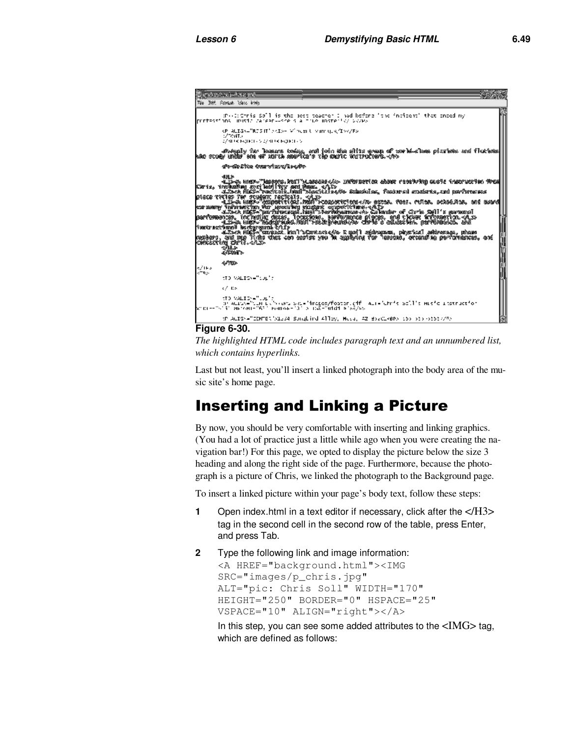



Last but not least, you'll insert a linked photograph into the body area of the music site's home page.

## **Inserting and Linking a Picture**

By now, you should be very comfortable with inserting and linking graphics. (You had a lot of practice just a little while ago when you were creating the navigation bar!) For this page, we opted to display the picture below the size 3 heading and along the right side of the page. Furthermore, because the photograph is a picture of Chris, we linked the photograph to the Background page.

To insert a linked picture within your page's body text, follow these steps:

- **1** Open index.html in a text editor if necessary, click after the  $\langle \text{H}3 \rangle$ tag in the second cell in the second row of the table, press Enter, and press Tab.
- **2** Type the following link and image information: <A HREF="background.html"><IMG SRC="images/p\_chris.jpg" ALT="pic: Chris Soll" WIDTH="170" HEIGHT="250" BORDER="0" HSPACE="25" VSPACE="10" ALIGN="right"></A>

In this step, you can see some added attributes to the  $\langle M G \rangle$  tag, which are defined as follows: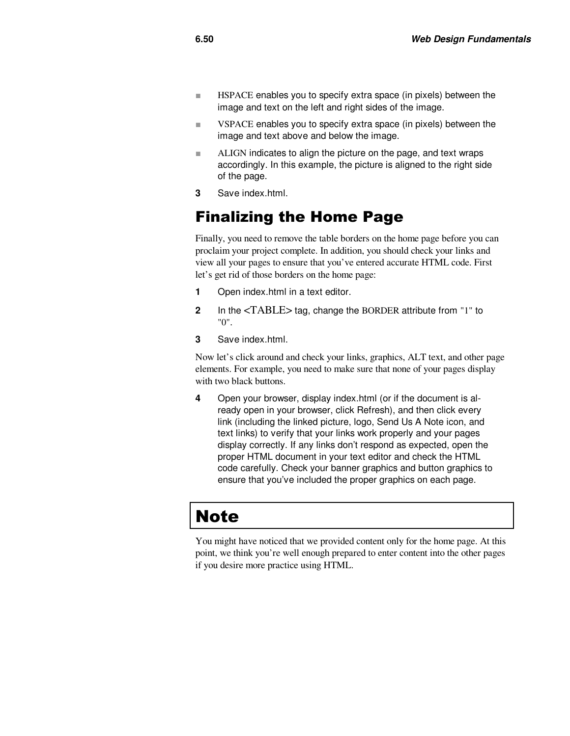- HSPACE enables you to specify extra space (in pixels) between the image and text on the left and right sides of the image.
- VSPACE enables you to specify extra space (in pixels) between the image and text above and below the image.
- ALIGN indicates to align the picture on the page, and text wraps accordingly. In this example, the picture is aligned to the right side of the page.
- **3** Save index.html.

## **Finalizing the Home Page**

Finally, you need to remove the table borders on the home page before you can proclaim your project complete. In addition, you should check your links and view all your pages to ensure that you've entered accurate HTML code. First let's get rid of those borders on the home page:

- **1** Open index.html in a text editor.
- **2** In the <TABLE> tag, change the BORDER attribute from "1" to "0".
- **3** Save index.html.

Now let's click around and check your links, graphics, ALT text, and other page elements. For example, you need to make sure that none of your pages display with two black buttons.

**4** Open your browser, display index.html (or if the document is already open in your browser, click Refresh), and then click every link (including the linked picture, logo, Send Us A Note icon, and text links) to verify that your links work properly and your pages display correctly. If any links don't respond as expected, open the proper HTML document in your text editor and check the HTML code carefully. Check your banner graphics and button graphics to ensure that you've included the proper graphics on each page.

## **Note**

You might have noticed that we provided content only for the home page. At this point, we think you're well enough prepared to enter content into the other pages if you desire more practice using HTML.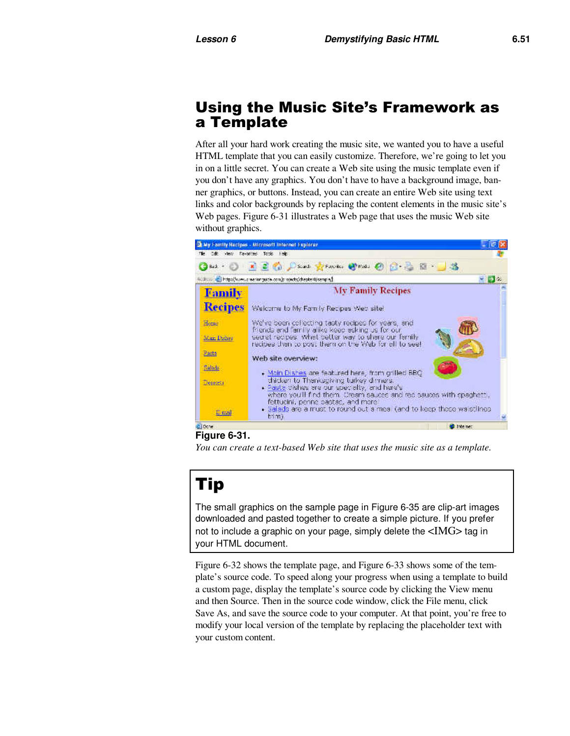## Using the Music Site's Framework as a Template

After all your hard work creating the music site, we wanted you to have a useful HTML template that you can easily customize. Therefore, we're going to let you in on a little secret. You can create a Web site using the music template even if you don't have any graphics. You don't have to have a background image, banner graphics, or buttons. Instead, you can create an entire Web site using text links and color backgrounds by replacing the content elements in the music site's Web pages. Figure 6-31 illustrates a Web page that uses the music Web site without graphics.



### **Figure 6-31.**

*You can create a text-based Web site that uses the music site as a template.* 

# Tip

The small graphics on the sample page in Figure 6-35 are clip-art images downloaded and pasted together to create a simple picture. If you prefer not to include a graphic on your page, simply delete the <IMG> tag in your HTML document.

Figure 6-32 shows the template page, and Figure 6-33 shows some of the template's source code. To speed along your progress when using a template to build a custom page, display the template's source code by clicking the View menu and then Source. Then in the source code window, click the File menu, click Save As, and save the source code to your computer. At that point, you're free to modify your local version of the template by replacing the placeholder text with your custom content.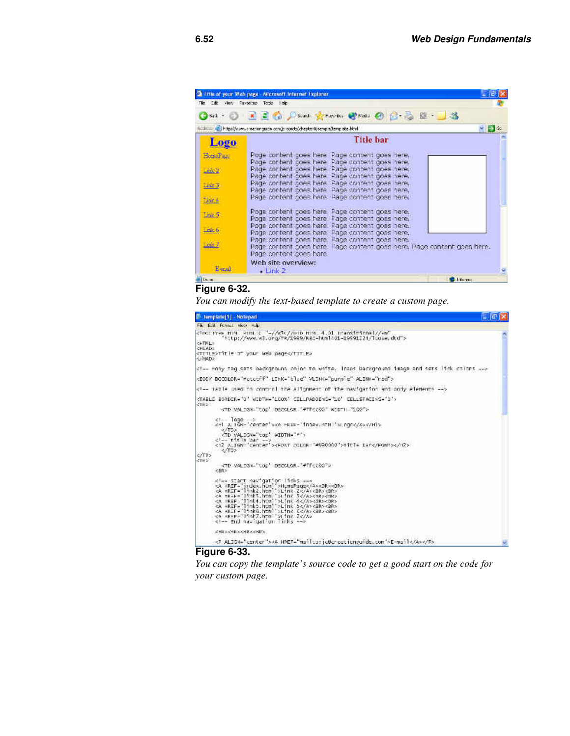| 40 March 14 (http://www.creerionguide.com/projects/chepter0) semple/tenglete.html<br><b>Title bar</b><br>Logo<br>Poge content coes here. Page content goes here.<br>HemaPage<br>Page content coes here. Page content goes here.<br>Page content coes here. Page content goes here,<br>Leis 2<br>Page content coes here. Page content goes here.<br>Page content coes here.<br>Page content goes here.<br>Lide 3<br>Page content coes here<br>Page content goes here,<br>Page content goes here. Page content goes here,<br>That 4 | 에 커 소 |
|-----------------------------------------------------------------------------------------------------------------------------------------------------------------------------------------------------------------------------------------------------------------------------------------------------------------------------------------------------------------------------------------------------------------------------------------------------------------------------------------------------------------------------------|-------|
|                                                                                                                                                                                                                                                                                                                                                                                                                                                                                                                                   |       |
|                                                                                                                                                                                                                                                                                                                                                                                                                                                                                                                                   |       |
|                                                                                                                                                                                                                                                                                                                                                                                                                                                                                                                                   |       |
|                                                                                                                                                                                                                                                                                                                                                                                                                                                                                                                                   |       |
|                                                                                                                                                                                                                                                                                                                                                                                                                                                                                                                                   |       |
|                                                                                                                                                                                                                                                                                                                                                                                                                                                                                                                                   |       |
| Pege content poes here<br>Page content goes nere.<br>1985<br>Page content coes here<br>Page content goes here.                                                                                                                                                                                                                                                                                                                                                                                                                    |       |
| Pege content coes here.<br>Page content goes here.<br>Leis 6<br>Page content goes here. Page content goes here,                                                                                                                                                                                                                                                                                                                                                                                                                   |       |
| Page content coes here.<br>Page content goes here.<br>2027<br>Page content goes here. Page content goes here, Page content goes here<br>Page content coes here.                                                                                                                                                                                                                                                                                                                                                                   |       |

### **Figure 6-32.**

*You can modify the text-based template to create a custom page.* 

| femplate[1] - Notepad                                                                                                                                                                                                                                                                                                                                                                                                                                                                                                                                                                                                                                                                                                                                                                                                                                                                                                                                                                                             |                                                                                  |                                                                                                                                                                                                                                                                                                                                                                                                                                                                                                                                                                                                                                                                                                                                                                                     |                                                                                                                                                                                                                                                                                                                                                                                                                                                                                             |  |
|-------------------------------------------------------------------------------------------------------------------------------------------------------------------------------------------------------------------------------------------------------------------------------------------------------------------------------------------------------------------------------------------------------------------------------------------------------------------------------------------------------------------------------------------------------------------------------------------------------------------------------------------------------------------------------------------------------------------------------------------------------------------------------------------------------------------------------------------------------------------------------------------------------------------------------------------------------------------------------------------------------------------|----------------------------------------------------------------------------------|-------------------------------------------------------------------------------------------------------------------------------------------------------------------------------------------------------------------------------------------------------------------------------------------------------------------------------------------------------------------------------------------------------------------------------------------------------------------------------------------------------------------------------------------------------------------------------------------------------------------------------------------------------------------------------------------------------------------------------------------------------------------------------------|---------------------------------------------------------------------------------------------------------------------------------------------------------------------------------------------------------------------------------------------------------------------------------------------------------------------------------------------------------------------------------------------------------------------------------------------------------------------------------------------|--|
| File E.R. Format View Halp-                                                                                                                                                                                                                                                                                                                                                                                                                                                                                                                                                                                                                                                                                                                                                                                                                                                                                                                                                                                       |                                                                                  |                                                                                                                                                                                                                                                                                                                                                                                                                                                                                                                                                                                                                                                                                                                                                                                     |                                                                                                                                                                                                                                                                                                                                                                                                                                                                                             |  |
| $\epsilon$ 1000 free H101, PUBLIC $\sim$ //GC//DID H101, 4.01 Transitional//EN"<br>"http://www.w3.org/TR/1989/Rec-html=01-19991228/Toose.dtd"><br><b>CETNLS</b><br>CHEADT.<br><title>Title of your web page</title><br>                                                                                                                                                                                                                                                                                                                                                                                                                                                                                                                                                                                                                                                                                                                                                                                           |                                                                                  |                                                                                                                                                                                                                                                                                                                                                                                                                                                                                                                                                                                                                                                                                                                                                                                     |                                                                                                                                                                                                                                                                                                                                                                                                                                                                                             |  |
| ci-- noby requests background color to witte. Inset background image and sets ligk calles -->                                                                                                                                                                                                                                                                                                                                                                                                                                                                                                                                                                                                                                                                                                                                                                                                                                                                                                                     |                                                                                  |                                                                                                                                                                                                                                                                                                                                                                                                                                                                                                                                                                                                                                                                                                                                                                                     |                                                                                                                                                                                                                                                                                                                                                                                                                                                                                             |  |
| <body alink="red" bgcolor="#ccccff" link="bloe" vlink="purple"></body>                                                                                                                                                                                                                                                                                                                                                                                                                                                                                                                                                                                                                                                                                                                                                                                                                                                                                                                                            |                                                                                  |                                                                                                                                                                                                                                                                                                                                                                                                                                                                                                                                                                                                                                                                                                                                                                                     |                                                                                                                                                                                                                                                                                                                                                                                                                                                                                             |  |
| gi-- table used to control the altonment of the navigation and body elements -->                                                                                                                                                                                                                                                                                                                                                                                                                                                                                                                                                                                                                                                                                                                                                                                                                                                                                                                                  |                                                                                  |                                                                                                                                                                                                                                                                                                                                                                                                                                                                                                                                                                                                                                                                                                                                                                                     |                                                                                                                                                                                                                                                                                                                                                                                                                                                                                             |  |
| CTABLE BORDER-'0" WEBTH="100%" CELLPADOTNS="10" CELLSRACT%S="3"><br>Z1K>1                                                                                                                                                                                                                                                                                                                                                                                                                                                                                                                                                                                                                                                                                                                                                                                                                                                                                                                                         |                                                                                  |                                                                                                                                                                                                                                                                                                                                                                                                                                                                                                                                                                                                                                                                                                                                                                                     |                                                                                                                                                                                                                                                                                                                                                                                                                                                                                             |  |
| <td decolor="#FFcc00" valign="TOD" width="100"><br/><math>ct = 1000 - 2</math><br/>KHL A 150-"center"&gt;ke teer-"fodex.ntnl"&gt;ungox/A&gt;k/Hl&gt;<br/></td><br><td "="" valism="top" width=""><br/><math>e^+ = \tau \tau</math> is har <math>-3</math><br/><h2 "center"="" a="" ign=""><fort "#990000"="" tolor="">Title tanc/FONT&gt;c/12&gt;<br/>K/TD&gt;<br/>C/TRS<br/><b>RIFS</b><br/><td "#tfec00"="" decolor="" tod'="" valiga=""><br/>√石段を<br/>&lt;!-- start navigation licks ---&lt;br&gt;<a href="index.htm">HomePage</a><br/><br/>&gt;<br/>ok HRCF - "Tink2, html" sLink Zk/AxxBRx dBD<br/>ce engry links html "suing Sc/Ascensores,<br/>KA IREF: "Initiativity" &gt;Link 4K/A&gt;&lt;3R&gt;&lt;0R&gt;<br/><a href="link">html"&gt;Link &gt;</a>&lt;3R&gt;&lt;3R&gt;<br/>CA HILLE- Trinks, html "authk GC/A&gt; GRD-GRD<br/><a 3x3as<br="" ink="" neve-"pink7.htm"="" si="">&lt;!-- End havigation links ---&lt;br&gt;<hranhranhranhra< td=""><td></td></hranhranhranhra<></a></td></fort></h2></td> | <br>$ct = 1000 - 2$<br>KHL A 150-"center">ke teer-"fodex.ntnl">ungox/A>k/Hl><br> | <br>$e^+ = \tau \tau$ is har $-3$<br><h2 "center"="" a="" ign=""><fort "#990000"="" tolor="">Title tanc/FONT&gt;c/12&gt;<br/>K/TD&gt;<br/>C/TRS<br/><b>RIFS</b><br/><td "#tfec00"="" decolor="" tod'="" valiga=""><br/>√石段を<br/>&lt;!-- start navigation licks ---&lt;br&gt;<a href="index.htm">HomePage</a><br/><br/>&gt;<br/>ok HRCF - "Tink2, html" sLink Zk/AxxBRx dBD<br/>ce engry links html "suing Sc/Ascensores,<br/>KA IREF: "Initiativity" &gt;Link 4K/A&gt;&lt;3R&gt;&lt;0R&gt;<br/><a href="link">html"&gt;Link &gt;</a>&lt;3R&gt;&lt;3R&gt;<br/>CA HILLE- Trinks, html "authk GC/A&gt; GRD-GRD<br/><a 3x3as<br="" ink="" neve-"pink7.htm"="" si="">&lt;!-- End havigation links ---&lt;br&gt;<hranhranhranhra< td=""><td></td></hranhranhranhra<></a></td></fort></h2> | <br>√石段を<br><!-- start navigation licks ---<br> <a href="index.htm">HomePage</a><br><br>><br>ok HRCF - "Tink2, html" sLink Zk/AxxBRx dBD<br>ce engry links html "suing Sc/Ascensores,<br>KA IREF: "Initiativity" >Link 4K/A><3R><0R><br><a href="link">html"&gt;Link &gt;</a> <3R><3R><br>CA HILLE- Trinks, html "authk GC/A> GRD-GRD<br><a 3x3as<br="" ink="" neve-"pink7.htm"="" si="">&lt;!-- End havigation links ---&lt;br&gt;<hranhranhranhra< td=""><td></td></hranhranhranhra<></a> |  |
| <f alis(="center"><a href="mailtorid&amp;creationouide.com">E-mail</a></f>                                                                                                                                                                                                                                                                                                                                                                                                                                                                                                                                                                                                                                                                                                                                                                                                                                                                                                                                        |                                                                                  |                                                                                                                                                                                                                                                                                                                                                                                                                                                                                                                                                                                                                                                                                                                                                                                     |                                                                                                                                                                                                                                                                                                                                                                                                                                                                                             |  |
| --<br>$\cdots$ $\sim$ 00                                                                                                                                                                                                                                                                                                                                                                                                                                                                                                                                                                                                                                                                                                                                                                                                                                                                                                                                                                                          |                                                                                  |                                                                                                                                                                                                                                                                                                                                                                                                                                                                                                                                                                                                                                                                                                                                                                                     |                                                                                                                                                                                                                                                                                                                                                                                                                                                                                             |  |

### **Figure 6-33.**

*You can copy the template's source code to get a good start on the code for your custom page.*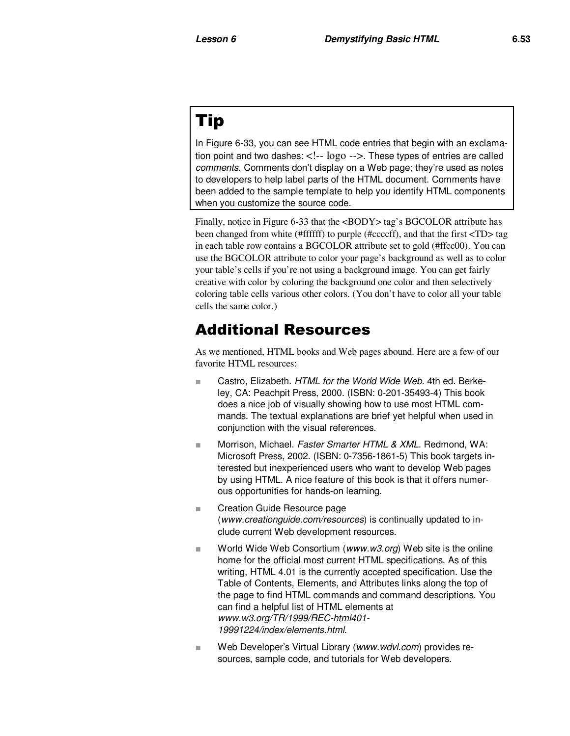## **Tip**

In Figure 6-33, you can see HTML code entries that begin with an exclamation point and two dashes: <!-- logo -->. These types of entries are called comments. Comments don't display on a Web page; they're used as notes to developers to help label parts of the HTML document. Comments have been added to the sample template to help you identify HTML components when you customize the source code.

Finally, notice in Figure 6-33 that the  $\langle BODY \rangle$  tag's BGCOLOR attribute has been changed from white (#ffffff) to purple (#ccccff), and that the first <TD> tag in each table row contains a BGCOLOR attribute set to gold (#ffcc00). You can use the BGCOLOR attribute to color your page's background as well as to color your table's cells if you're not using a background image. You can get fairly creative with color by coloring the background one color and then selectively coloring table cells various other colors. (You don't have to color all your table cells the same color.)

## Additional Resources

As we mentioned, HTML books and Web pages abound. Here are a few of our favorite HTML resources:

- Castro, Elizabeth. HTML for the World Wide Web. 4th ed. Berkeley, CA: Peachpit Press, 2000. (ISBN: 0-201-35493-4) This book does a nice job of visually showing how to use most HTML commands. The textual explanations are brief yet helpful when used in conjunction with the visual references.
- Morrison, Michael. Faster Smarter HTML & XML. Redmond, WA: Microsoft Press, 2002. (ISBN: 0-7356-1861-5) This book targets interested but inexperienced users who want to develop Web pages by using HTML. A nice feature of this book is that it offers numerous opportunities for hands-on learning.
- Creation Guide Resource page (www.creationguide.com/resources) is continually updated to include current Web development resources.
- World Wide Web Consortium (www.w3.org) Web site is the online home for the official most current HTML specifications. As of this writing, HTML 4.01 is the currently accepted specification. Use the Table of Contents, Elements, and Attributes links along the top of the page to find HTML commands and command descriptions. You can find a helpful list of HTML elements at www.w3.org/TR/1999/REC-html401- 19991224/index/elements.html.
- Web Developer's Virtual Library (www.wdvl.com) provides resources, sample code, and tutorials for Web developers.